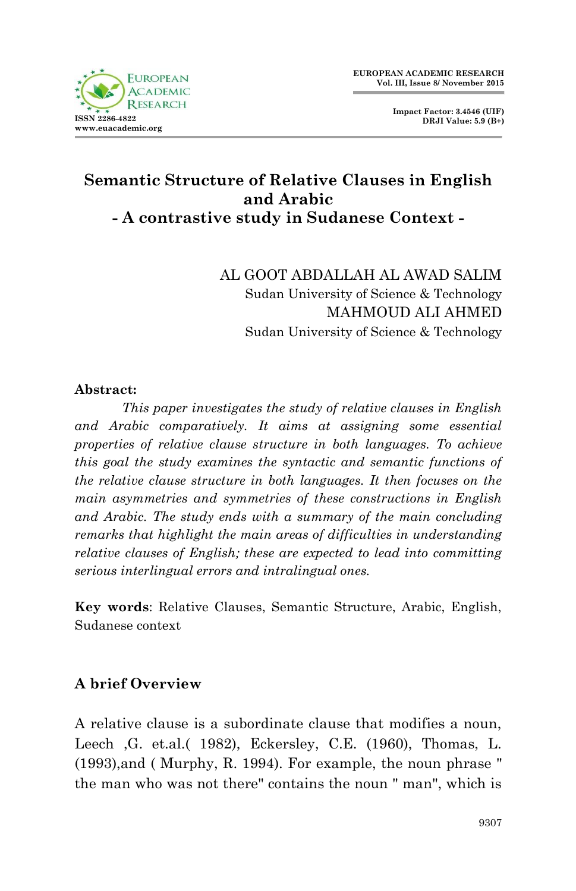

**Impact Factor: 3.4546 (UIF) DRJI Value: 5.9 (B+)**

# **Semantic Structure of Relative Clauses in English and Arabic - A contrastive study in Sudanese Context -**

AL GOOT ABDALLAH AL AWAD SALIM Sudan University of Science & Technology MAHMOUD ALI AHMED Sudan University of Science & Technology

#### **Abstract:**

*This paper investigates the study of relative clauses in English and Arabic comparatively. It aims at assigning some essential properties of relative clause structure in both languages. To achieve this goal the study examines the syntactic and semantic functions of the relative clause structure in both languages. It then focuses on the main asymmetries and symmetries of these constructions in English and Arabic. The study ends with a summary of the main concluding remarks that highlight the main areas of difficulties in understanding relative clauses of English; these are expected to lead into committing serious interlingual errors and intralingual ones.*

**Key words**: Relative Clauses, Semantic Structure, Arabic, English, Sudanese context

### **A brief Overview**

A relative clause is a subordinate clause that modifies a noun, Leech ,G. et.al.( 1982), Eckersley, C.E. (1960), Thomas, L. (1993),and ( Murphy, R. 1994). For example, the noun phrase " the man who was not there" contains the noun " man", which is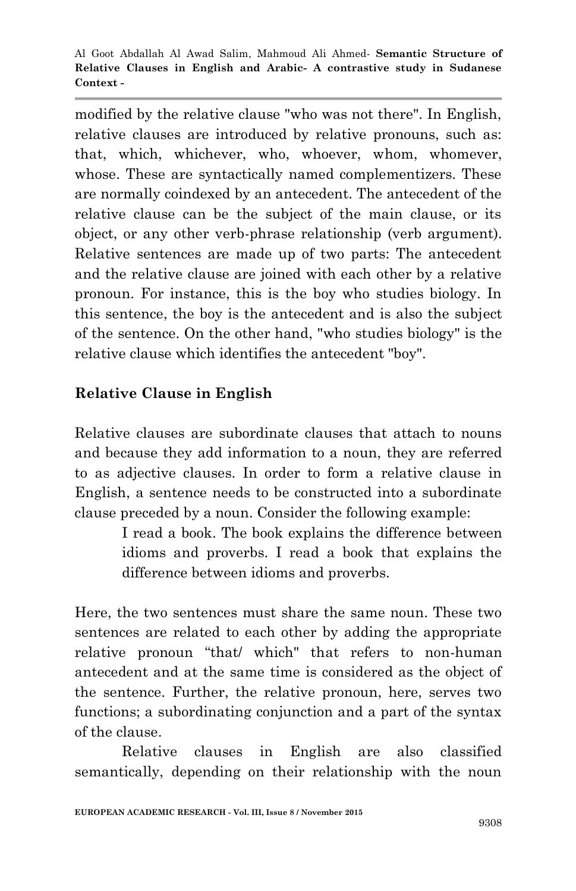modified by the relative clause "who was not there". In English, relative clauses are introduced by relative pronouns, such as: that, which, whichever, who, whoever, whom, whomever, whose. These are syntactically named complementizers. These are normally coindexed by an antecedent. The antecedent of the relative clause can be the subject of the main clause, or its object, or any other verb-phrase relationship (verb argument). Relative sentences are made up of two parts: The antecedent and the relative clause are joined with each other by a relative pronoun. For instance, this is the boy who studies biology. In this sentence, the boy is the antecedent and is also the subject of the sentence. On the other hand, "who studies biology" is the relative clause which identifies the antecedent "boy".

## **Relative Clause in English**

Relative clauses are subordinate clauses that attach to nouns and because they add information to a noun, they are referred to as adjective clauses. In order to form a relative clause in English, a sentence needs to be constructed into a subordinate clause preceded by a noun. Consider the following example:

> I read a book. The book explains the difference between idioms and proverbs. I read a book that explains the difference between idioms and proverbs.

Here, the two sentences must share the same noun. These two sentences are related to each other by adding the appropriate relative pronoun "that/ which" that refers to non-human antecedent and at the same time is considered as the object of the sentence. Further, the relative pronoun, here, serves two functions; a subordinating conjunction and a part of the syntax of the clause.

Relative clauses in English are also classified semantically, depending on their relationship with the noun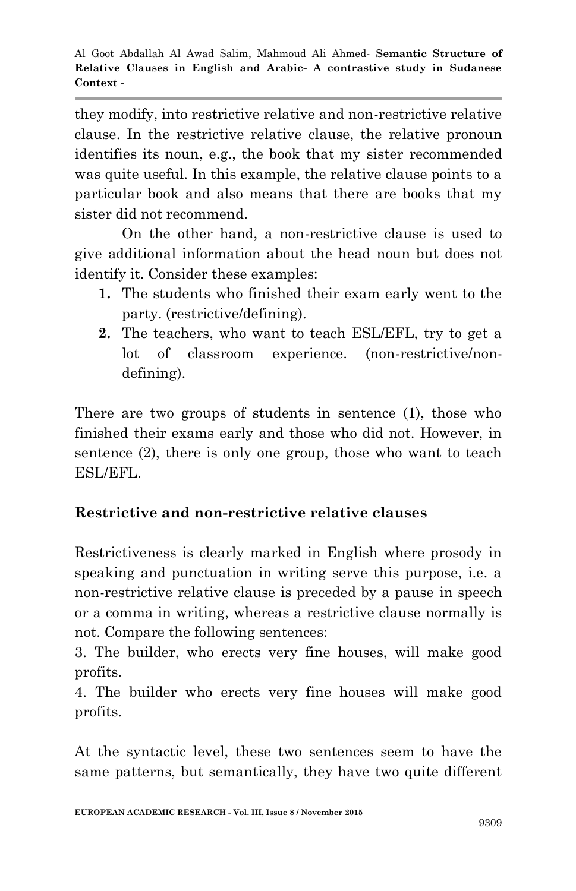they modify, into restrictive relative and non-restrictive relative clause. In the restrictive relative clause, the relative pronoun identifies its noun, e.g., the book that my sister recommended was quite useful. In this example, the relative clause points to a particular book and also means that there are books that my sister did not recommend.

On the other hand, a non-restrictive clause is used to give additional information about the head noun but does not identify it. Consider these examples:

- **1.** The students who finished their exam early went to the party. (restrictive/defining).
- **2.** The teachers, who want to teach ESL/EFL, try to get a lot of classroom experience. (non-restrictive/nondefining).

There are two groups of students in sentence (1), those who finished their exams early and those who did not. However, in sentence (2), there is only one group, those who want to teach ESL/EFL.

# **Restrictive and non-restrictive relative clauses**

Restrictiveness is clearly marked in English where prosody in speaking and punctuation in writing serve this purpose, i.e. a non-restrictive relative clause is preceded by a pause in speech or a comma in writing, whereas a restrictive clause normally is not. Compare the following sentences:

3. The builder, who erects very fine houses, will make good profits.

4. The builder who erects very fine houses will make good profits.

At the syntactic level, these two sentences seem to have the same patterns, but semantically, they have two quite different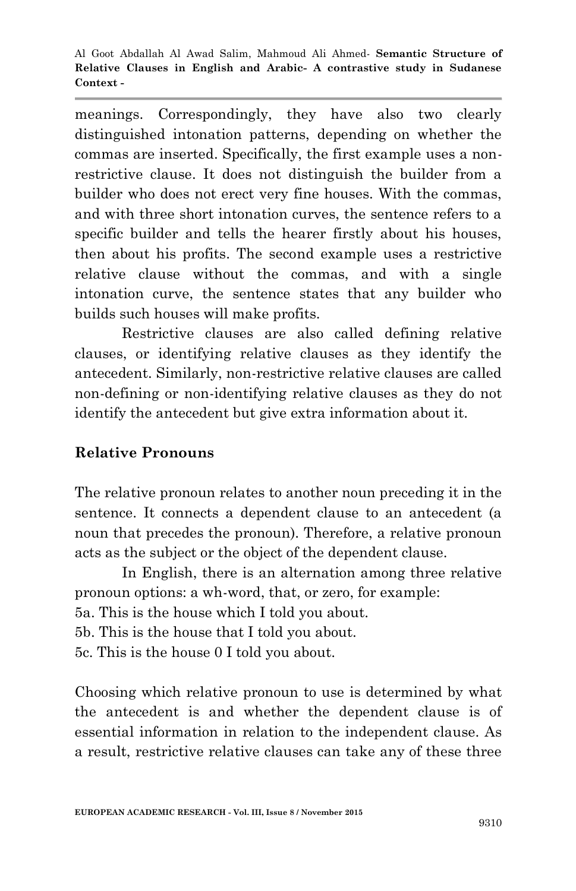meanings. Correspondingly, they have also two clearly distinguished intonation patterns, depending on whether the commas are inserted. Specifically, the first example uses a nonrestrictive clause. It does not distinguish the builder from a builder who does not erect very fine houses. With the commas, and with three short intonation curves, the sentence refers to a specific builder and tells the hearer firstly about his houses, then about his profits. The second example uses a restrictive relative clause without the commas, and with a single intonation curve, the sentence states that any builder who builds such houses will make profits.

Restrictive clauses are also called defining relative clauses, or identifying relative clauses as they identify the antecedent. Similarly, non-restrictive relative clauses are called non-defining or non-identifying relative clauses as they do not identify the antecedent but give extra information about it.

### **Relative Pronouns**

The relative pronoun relates to another noun preceding it in the sentence. It connects a dependent clause to an antecedent (a noun that precedes the pronoun). Therefore, a relative pronoun acts as the subject or the object of the dependent clause.

In English, there is an alternation among three relative pronoun options: a wh-word, that, or zero, for example: 5a. This is the house which I told you about.

5b. This is the house that I told you about.

5c. This is the house 0 I told you about.

Choosing which relative pronoun to use is determined by what the antecedent is and whether the dependent clause is of essential information in relation to the independent clause. As a result, restrictive relative clauses can take any of these three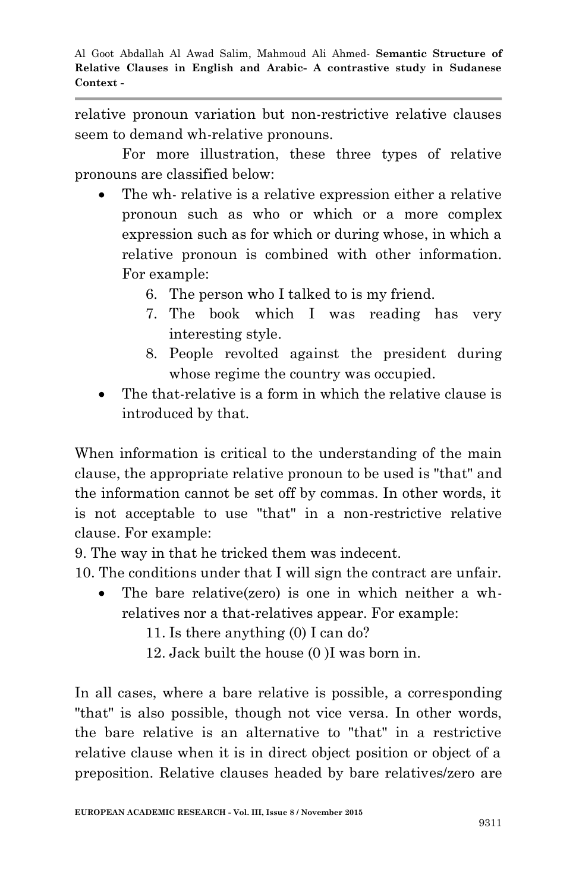relative pronoun variation but non-restrictive relative clauses seem to demand wh-relative pronouns.

For more illustration, these three types of relative pronouns are classified below:

- The wh- relative is a relative expression either a relative pronoun such as who or which or a more complex expression such as for which or during whose, in which a relative pronoun is combined with other information. For example:
	- 6. The person who I talked to is my friend.
	- 7. The book which I was reading has very interesting style.
	- 8. People revolted against the president during whose regime the country was occupied.
- The that-relative is a form in which the relative clause is introduced by that.

When information is critical to the understanding of the main clause, the appropriate relative pronoun to be used is "that" and the information cannot be set off by commas. In other words, it is not acceptable to use "that" in a non-restrictive relative clause. For example:

9. The way in that he tricked them was indecent.

10. The conditions under that I will sign the contract are unfair.

- The bare relative(zero) is one in which neither a whrelatives nor a that-relatives appear. For example:
	- 11. Is there anything (0) I can do?
	- 12. Jack built the house (0 )I was born in.

In all cases, where a bare relative is possible, a corresponding "that" is also possible, though not vice versa. In other words, the bare relative is an alternative to "that" in a restrictive relative clause when it is in direct object position or object of a preposition. Relative clauses headed by bare relatives/zero are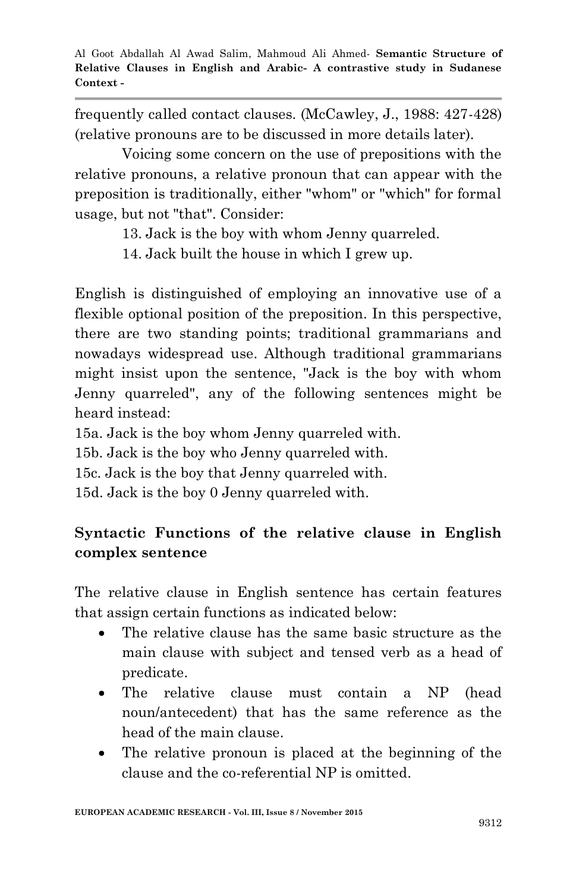frequently called contact clauses. (McCawley, J., 1988: 427-428) (relative pronouns are to be discussed in more details later).

Voicing some concern on the use of prepositions with the relative pronouns, a relative pronoun that can appear with the preposition is traditionally, either "whom" or "which" for formal usage, but not "that". Consider:

13. Jack is the boy with whom Jenny quarreled.

14. Jack built the house in which I grew up.

English is distinguished of employing an innovative use of a flexible optional position of the preposition. In this perspective, there are two standing points; traditional grammarians and nowadays widespread use. Although traditional grammarians might insist upon the sentence, "Jack is the boy with whom Jenny quarreled", any of the following sentences might be heard instead:

15a. Jack is the boy whom Jenny quarreled with.

15b. Jack is the boy who Jenny quarreled with.

15c. Jack is the boy that Jenny quarreled with.

15d. Jack is the boy 0 Jenny quarreled with.

# **Syntactic Functions of the relative clause in English complex sentence**

The relative clause in English sentence has certain features that assign certain functions as indicated below:

- The relative clause has the same basic structure as the main clause with subject and tensed verb as a head of predicate.
- The relative clause must contain a NP (head noun/antecedent) that has the same reference as the head of the main clause.
- The relative pronoun is placed at the beginning of the clause and the co-referential NP is omitted.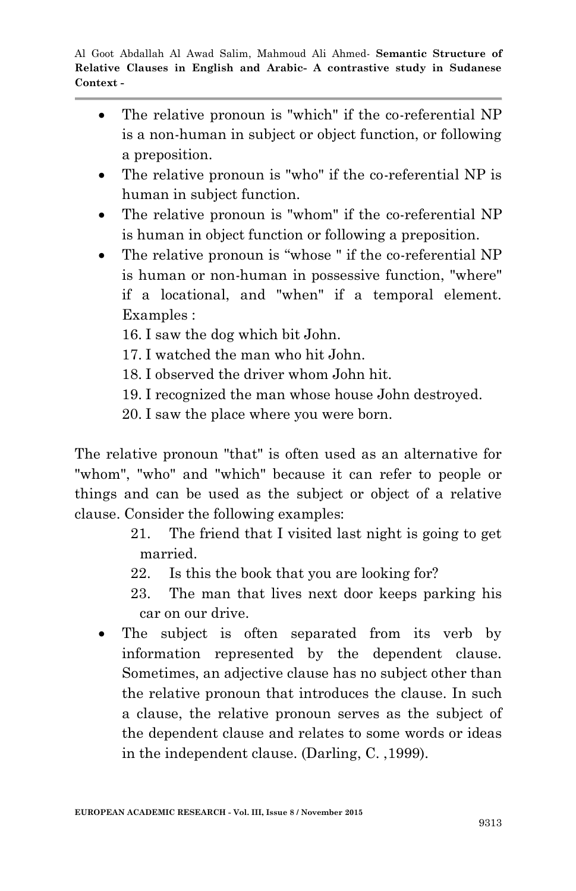- The relative pronoun is "which" if the co-referential NP is a non-human in subject or object function, or following a preposition.
- The relative pronoun is "who" if the co-referential NP is human in subject function.
- The relative pronoun is "whom" if the co-referential NP is human in object function or following a preposition.
- The relative pronoun is "whose " if the co-referential NP is human or non-human in possessive function, "where" if a locational, and "when" if a temporal element. Examples :
	- 16. I saw the dog which bit John.
	- 17. I watched the man who hit John.
	- 18. I observed the driver whom John hit.
	- 19. I recognized the man whose house John destroyed.
	- 20. I saw the place where you were born.

The relative pronoun "that" is often used as an alternative for "whom", "who" and "which" because it can refer to people or things and can be used as the subject or object of a relative clause. Consider the following examples:

- 21. The friend that I visited last night is going to get married.
- 22. Is this the book that you are looking for?
- 23. The man that lives next door keeps parking his car on our drive.
- The subject is often separated from its verb by information represented by the dependent clause. Sometimes, an adjective clause has no subject other than the relative pronoun that introduces the clause. In such a clause, the relative pronoun serves as the subject of the dependent clause and relates to some words or ideas in the independent clause. (Darling, C. ,1999).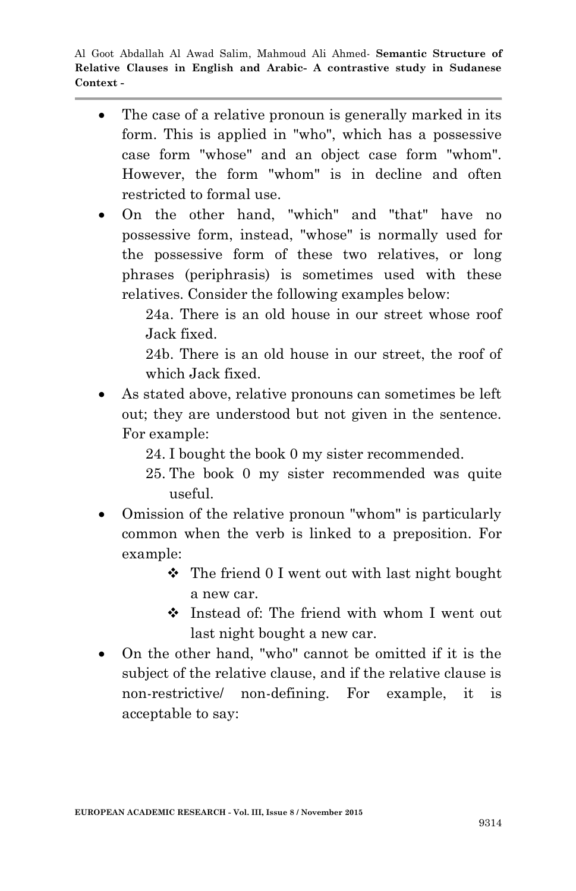• The case of a relative pronoun is generally marked in its form. This is applied in "who", which has a possessive case form "whose" and an object case form "whom". However, the form "whom" is in decline and often restricted to formal use.

 On the other hand, "which" and "that" have no possessive form, instead, "whose" is normally used for the possessive form of these two relatives, or long phrases (periphrasis) is sometimes used with these relatives. Consider the following examples below:

> 24a. There is an old house in our street whose roof Jack fixed.

> 24b. There is an old house in our street, the roof of which Jack fixed.

- As stated above, relative pronouns can sometimes be left out; they are understood but not given in the sentence. For example:
	- 24. I bought the book 0 my sister recommended.
	- 25. The book 0 my sister recommended was quite useful.
- Omission of the relative pronoun "whom" is particularly common when the verb is linked to a preposition. For example:
	- The friend 0 I went out with last night bought a new car.
	- Instead of: The friend with whom I went out last night bought a new car.
- On the other hand, "who" cannot be omitted if it is the subject of the relative clause, and if the relative clause is non-restrictive/ non-defining. For example, it is acceptable to say: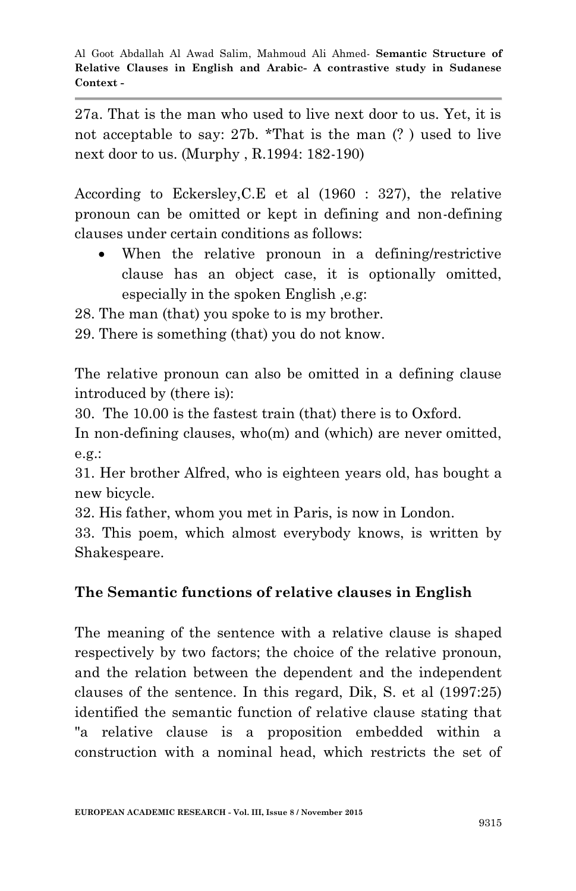27a. That is the man who used to live next door to us. Yet, it is not acceptable to say: 27b. \*That is the man (? ) used to live next door to us. (Murphy , R.1994: 182-190)

According to Eckersley,C.E et al (1960 : 327), the relative pronoun can be omitted or kept in defining and non-defining clauses under certain conditions as follows:

 When the relative pronoun in a defining/restrictive clause has an object case, it is optionally omitted, especially in the spoken English ,e.g:

28. The man (that) you spoke to is my brother.

29. There is something (that) you do not know.

The relative pronoun can also be omitted in a defining clause introduced by (there is):

30. The 10.00 is the fastest train (that) there is to Oxford.

In non-defining clauses, who(m) and (which) are never omitted, e.g.:

31. Her brother Alfred, who is eighteen years old, has bought a new bicycle.

32. His father, whom you met in Paris, is now in London.

33. This poem, which almost everybody knows, is written by Shakespeare.

### **The Semantic functions of relative clauses in English**

The meaning of the sentence with a relative clause is shaped respectively by two factors; the choice of the relative pronoun, and the relation between the dependent and the independent clauses of the sentence. In this regard, Dik, S. et al (1997:25) identified the semantic function of relative clause stating that "a relative clause is a proposition embedded within a construction with a nominal head, which restricts the set of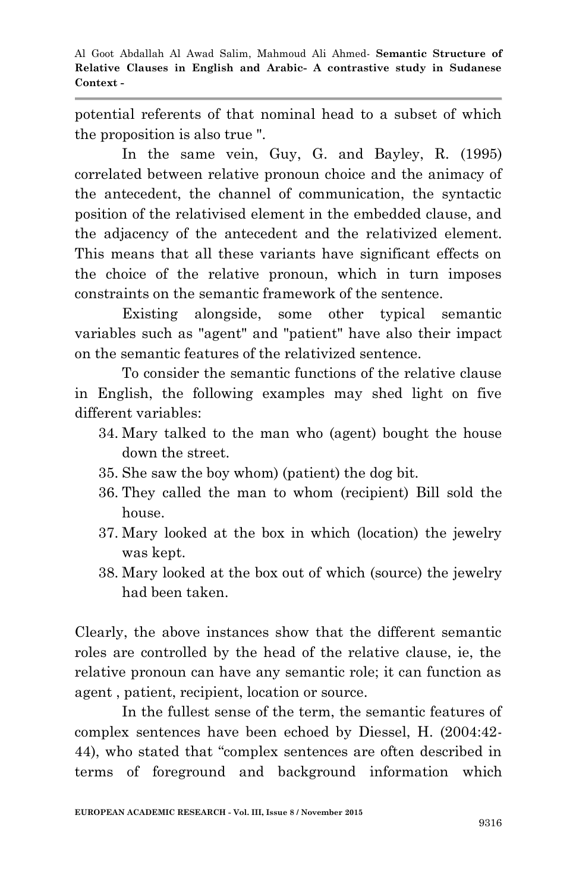potential referents of that nominal head to a subset of which the proposition is also true ".

In the same vein, Guy, G. and Bayley, R. (1995) correlated between relative pronoun choice and the animacy of the antecedent, the channel of communication, the syntactic position of the relativised element in the embedded clause, and the adjacency of the antecedent and the relativized element. This means that all these variants have significant effects on the choice of the relative pronoun, which in turn imposes constraints on the semantic framework of the sentence.

Existing alongside, some other typical semantic variables such as "agent" and "patient" have also their impact on the semantic features of the relativized sentence.

To consider the semantic functions of the relative clause in English, the following examples may shed light on five different variables:

- 34. Mary talked to the man who (agent) bought the house down the street.
- 35. She saw the boy whom) (patient) the dog bit.
- 36. They called the man to whom (recipient) Bill sold the house.
- 37. Mary looked at the box in which (location) the jewelry was kept.
- 38. Mary looked at the box out of which (source) the jewelry had been taken.

Clearly, the above instances show that the different semantic roles are controlled by the head of the relative clause, ie, the relative pronoun can have any semantic role; it can function as agent , patient, recipient, location or source.

In the fullest sense of the term, the semantic features of complex sentences have been echoed by Diessel, H. (2004:42- 44), who stated that "complex sentences are often described in terms of foreground and background information which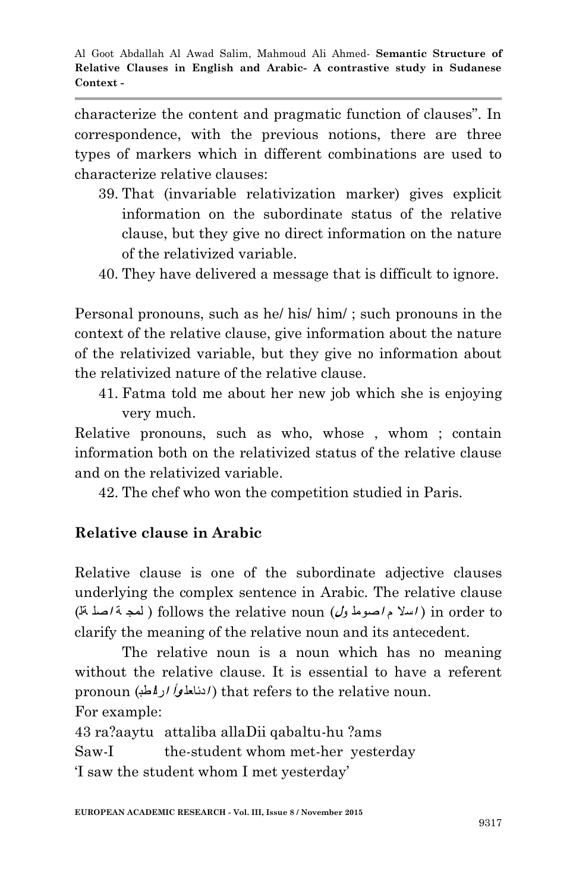characterize the content and pragmatic function of clauses". In correspondence, with the previous notions, there are three types of markers which in different combinations are used to characterize relative clauses:

- 39. That (invariable relativization marker) gives explicit information on the subordinate status of the relative clause, but they give no direct information on the nature of the relativized variable.
- 40. They have delivered a message that is difficult to ignore.

Personal pronouns, such as he/ his/ him/ ; such pronouns in the context of the relative clause, give information about the nature of the relativized variable, but they give no information about the relativized nature of the relative clause.

41. Fatma told me about her new job which she is enjoying very much.

Relative pronouns, such as who, whose , whom ; contain information both on the relativized status of the relative clause and on the relativized variable.

42. The chef who won the competition studied in Paris.

# **Relative clause in Arabic**

Relative clause is one of the subordinate adjective clauses underlying the complex sentence in Arabic. The relative clause to order in ) **ا**سلا م **<sup>ا</sup>**صومل و**ل**) noun relative the follows ) لمج ة **<sup>ا</sup>**صل ةل) clarify the meaning of the relative noun and its antecedent.

The relative noun is a noun which has no meaning without the relative clause. It is essential to have a referent pronoun (ادئاعلمو*أ ادىالم*طب) that refers to the relative noun. For example:

43 ra?aaytu attaliba allaDii qabaltu-hu ?ams

Saw-I the-student whom met-her yesterday

"I saw the student whom I met yesterday"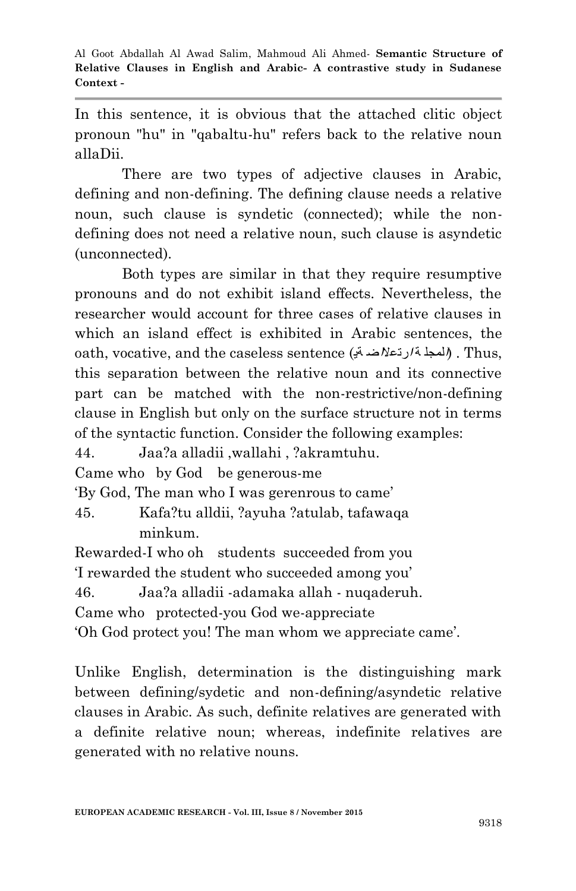In this sentence, it is obvious that the attached clitic object pronoun "hu" in "qabaltu-hu" refers back to the relative noun allaDii.

There are two types of adjective clauses in Arabic, defining and non-defining. The defining clause needs a relative noun, such clause is syndetic (connected); while the nondefining does not need a relative noun, such clause is asyndetic (unconnected).

Both types are similar in that they require resumptive pronouns and do not exhibit island effects. Nevertheless, the researcher would account for three cases of relative clauses in which an island effect is exhibited in Arabic sentences, the oath, vocative, and the caseless sentence (ةی **<sup>ا</sup>**رتعلا**ا**ض ة **<sup>ا</sup>**لمجل (. Thus, this separation between the relative noun and its connective part can be matched with the non-restrictive/non-defining clause in English but only on the surface structure not in terms of the syntactic function. Consider the following examples:

44. Jaa?a alladii ,wallahi , ?akramtuhu.

Came who by God be generous-me

"By God, The man who I was gerenrous to came"

45. Kafa?tu alldii, ?ayuha ?atulab, tafawaqa minkum.

Rewarded-I who oh students succeeded from you "I rewarded the student who succeeded among you" 46. Jaa?a alladii -adamaka allah - nuqaderuh. Came who protected-you God we-appreciate

"Oh God protect you! The man whom we appreciate came".

Unlike English, determination is the distinguishing mark between defining/sydetic and non-defining/asyndetic relative clauses in Arabic. As such, definite relatives are generated with a definite relative noun; whereas, indefinite relatives are generated with no relative nouns.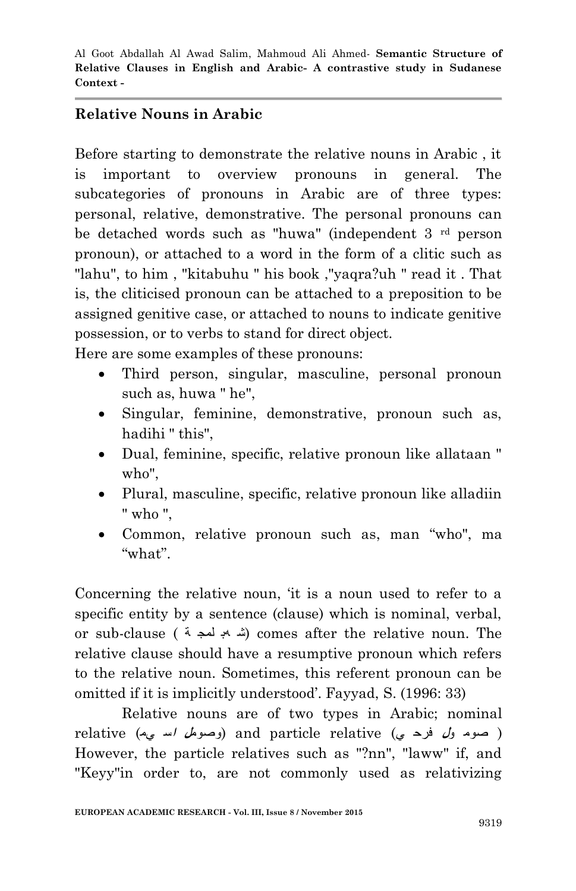# **Relative Nouns in Arabic**

Before starting to demonstrate the relative nouns in Arabic , it is important to overview pronouns in general. The subcategories of pronouns in Arabic are of three types: personal, relative, demonstrative. The personal pronouns can be detached words such as "huwa" (independent 3 rd person pronoun), or attached to a word in the form of a clitic such as "lahu", to him , "kitabuhu " his book ,"yaqra?uh " read it . That is, the cliticised pronoun can be attached to a preposition to be assigned genitive case, or attached to nouns to indicate genitive possession, or to verbs to stand for direct object.

Here are some examples of these pronouns:

- Third person, singular, masculine, personal pronoun such as, huwa " he",
- Singular, feminine, demonstrative, pronoun such as, hadihi " this",
- Dual, feminine, specific, relative pronoun like allataan " who",
- Plural, masculine, specific, relative pronoun like alladiin " who ",
- Common, relative pronoun such as, man "who", ma "what".

Concerning the relative noun, "it is a noun used to refer to a specific entity by a sentence (clause) which is nominal, verbal, or sub-clause (شهب لمجد بة) comes after the relative noun. The relative clause should have a resumptive pronoun which refers to the relative noun. Sometimes, this referent pronoun can be omitted if it is implicitly understood". Fayyad, S. (1996: 33)

Relative nouns are of two types in Arabic; nominal ( صوم و**ل** فرح ي) relative particle and) وصوم**ل <sup>ا</sup>**س يم) relative However, the particle relatives such as "?nn", "laww" if, and "Keyy"in order to, are not commonly used as relativizing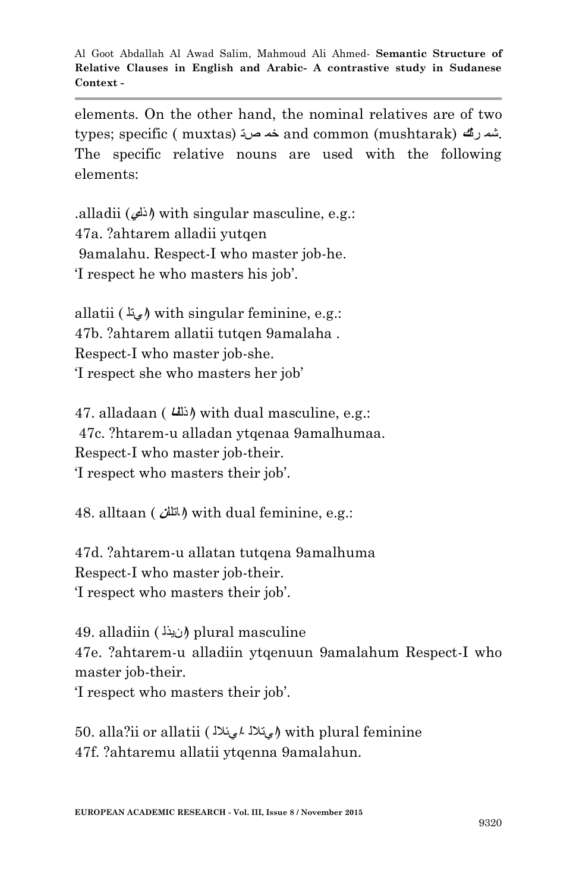elements. On the other hand, the nominal relatives are of two types; specific ( muxtas) صت خم and common (mushtarak) رت**<sup>ك</sup>** شم. The specific relative nouns are used with the following elements:

.alladii (**ا**ذل**ي** (with singular masculine, e.g.: 47a. ?ahtarem alladii yutqen 9amalahu. Respect-I who master job-he. "I respect he who masters his job".

allatii ( **ا**يتل (with singular feminine, e.g.: 47b. ?ahtarem allatii tutqen 9amalaha . Respect-I who master job-she. "I respect she who masters her job"

47. alladaan ( **ا**ذلل**نا** (with dual masculine, e.g.: 47c. ?htarem-u alladan ytqenaa 9amalhumaa. Respect-I who master job-their. "I respect who masters their job".

48. alltaan ( **ا**اتلل**ن** (with dual feminine, e.g.:

47d. ?ahtarem-u allatan tutqena 9amalhuma Respect-I who master job-their. "I respect who masters their job".

49. alladiin ( **ا**نیذل (plural masculine 47e. ?ahtarem-u alladiin ytqenuun 9amalahum Respect-I who master job-their.

"I respect who masters their job".

50. alla?ii or allatii ( **ا**يئلال- **<sup>ا</sup>**يتلال (with plural feminine 47f. ?ahtaremu allatii ytqenna 9amalahun.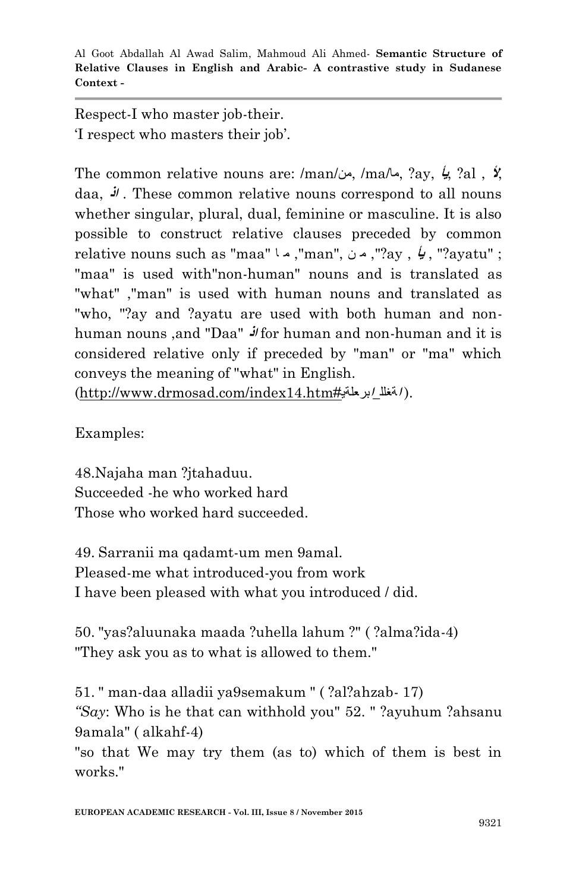Respect-I who master job-their. "I respect who masters their job".

The common relative nouns are: /man/من, /ma/ما,? ay, **يأ**,? al , **أل**, daa, **اذ** . These common relative nouns correspond to all nouns whether singular, plural, dual, feminine or masculine. It is also possible to construct relative clauses preceded by common relative nouns such as "maa" ا م ,"man", ن م ,?"ay , **يأ** ,?" ayatu" ; "maa" is used with"non-human" nouns and is translated as "what" ,"man" is used with human nouns and translated as "who, "?ay and ?ayatu are used with both human and nonhuman nouns ,and "Daa" **اذ** for human and non-human and it is considered relative only if preceded by "man" or "ma" which conveys the meaning of "what" in English. (http://www.drmosad.com/index14.htm#**ا**برعلةی\_**ا**ةغلل( .

Examples:

48.Najaha man ?jtahaduu. Succeeded -he who worked hard Those who worked hard succeeded.

49. Sarranii ma qadamt-um men 9amal. Pleased-me what introduced-you from work I have been pleased with what you introduced / did.

50. "yas?aluunaka maada ?uhella lahum ?" ( ?alma?ida-4) "They ask you as to what is allowed to them."

51. " man-daa alladii ya9semakum " ( ?al?ahzab- 17) *"Say*: Who is he that can withhold you" 52. " ?ayuhum ?ahsanu 9amala" ( alkahf-4)

"so that We may try them (as to) which of them is best in works."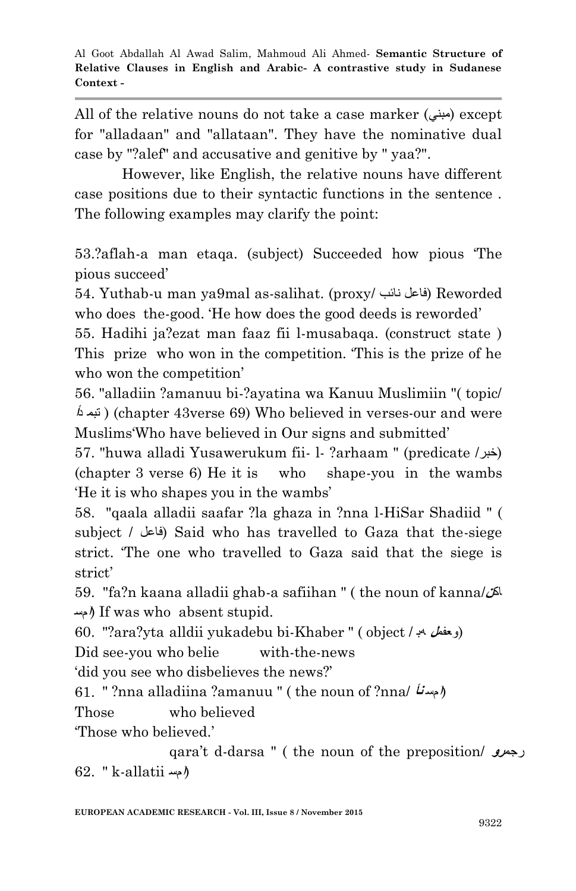All of the relative nouns do not take a case marker (مبني (except for "alladaan" and "allataan". They have the nominative dual case by "?alef" and accusative and genitive by " yaa?".

However, like English, the relative nouns have different case positions due to their syntactic functions in the sentence . The following examples may clarify the point:

53.?aflah-a man etaqa. (subject) Succeeded how pious "The pious succeed"

54. Yuthab-u man ya9mal as-salihat. (proxy/ نائب فاعل (Reworded who does the-good. He how does the good deeds is reworded

55. Hadihi ja?ezat man faaz fii l-musabaqa. (construct state ) This prize who won in the competition. "This is the prize of he who won the competition'

56. "alladiin ?amanuu bi-?ayatina wa Kanuu Muslimiin "( topic/ د**أ** تبم) ( chapter 43verse 69) Who believed in verses-our and were Muslims"Who have believed in Our signs and submitted"

57. "huwa alladi Yusawerukum fii- l- ?arhaam " (predicate /خبر ( (chapter 3 verse 6) He it is who shape-you in the wambs "He it is who shapes you in the wambs"

58. "qaala alladii saafar ?la ghaza in ?nna l-HiSar Shadiid " ( subject / فاعل (Said who has travelled to Gaza that the-siege strict. "The one who travelled to Gaza said that the siege is strict'

59. "fa?n kaana alladii ghab-a safiihan " ( the noun of kanna/اك**<sup>ن</sup> <sup>ا</sup>**مس (If was who absent stupid.

60. "?ara?yta alldii yukadebu bi-Khaber " ( object / ھب وعفم**ل**(

Did see-you who belie with-the-news

"did you see who disbelieves the news?"

61. " ?nna alladiina ?amanuu " ( the noun of ?nna/ **نأ <sup>ا</sup>**مس(

Those who believed

"Those who believed."

62. " k-allatii (**ا**مسqara"t d-darsa " ( the noun of the preposition/ رجم**رو**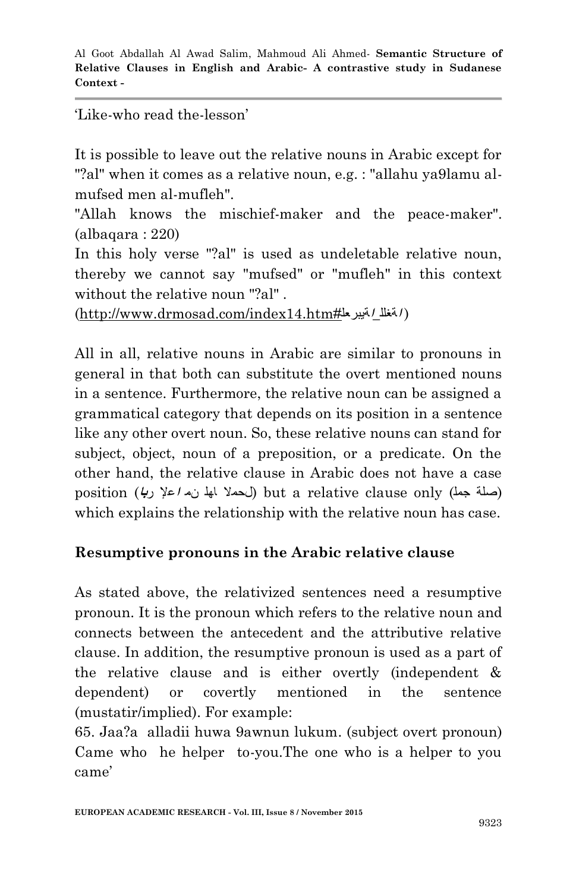#### "Like-who read the-lesson"

It is possible to leave out the relative nouns in Arabic except for "?al" when it comes as a relative noun, e.g. : "allahu ya9lamu almufsed men al-mufleh".

"Allah knows the mischief-maker and the peace-maker".  $(albaqara: 220)$ 

In this holy verse "?al" is used as undeletable relative noun, thereby we cannot say "mufsed" or "mufleh" in this context without the relative noun "?al".

(http://www.drmosad.com/index14.htm#**ا**ةیبرعل\_**ا**ةغلل(

All in all, relative nouns in Arabic are similar to pronouns in general in that both can substitute the overt mentioned nouns in a sentence. Furthermore, the relative noun can be assigned a grammatical category that depends on its position in a sentence like any other overt noun. So, these relative nouns can stand for subject, object, noun of a preposition, or a predicate. On the other hand, the relative clause in Arabic does not have a case (صلة جمل) only clause relative a but) لحملا اھل نم **<sup>ا</sup>**علإ ر**با**) position which explains the relationship with the relative noun has case.

# **Resumptive pronouns in the Arabic relative clause**

As stated above, the relativized sentences need a resumptive pronoun. It is the pronoun which refers to the relative noun and connects between the antecedent and the attributive relative clause. In addition, the resumptive pronoun is used as a part of the relative clause and is either overtly (independent & dependent) or covertly mentioned in the sentence (mustatir/implied). For example:

65. Jaa?a alladii huwa 9awnun lukum. (subject overt pronoun) Came who he helper to-you.The one who is a helper to you came'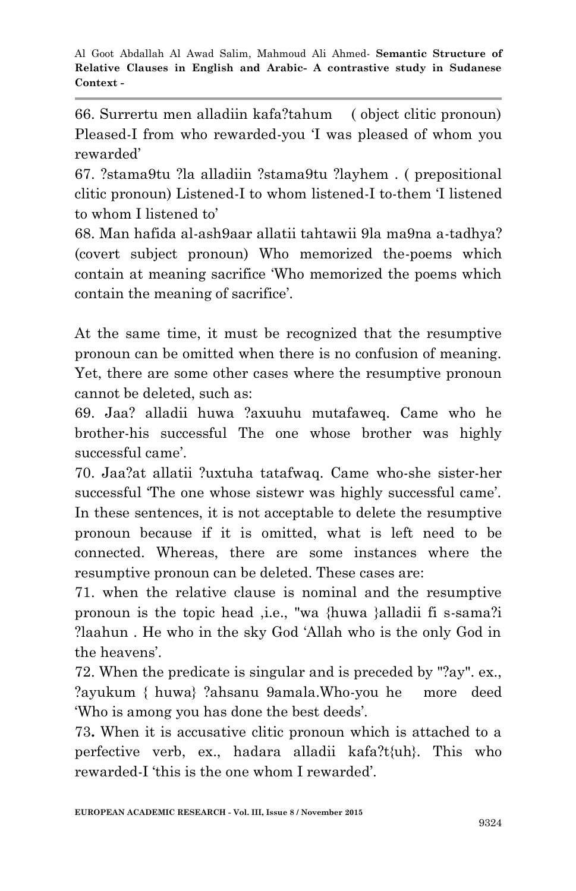66. Surrertu men alladiin kafa?tahum ( object clitic pronoun) Pleased-I from who rewarded-you "I was pleased of whom you rewarded"

67. ?stama9tu ?la alladiin ?stama9tu ?layhem . ( prepositional clitic pronoun) Listened-I to whom listened-I to-them "I listened to whom I listened to'

68. Man hafida al-ash9aar allatii tahtawii 9la ma9na a-tadhya? (covert subject pronoun) Who memorized the-poems which contain at meaning sacrifice "Who memorized the poems which contain the meaning of sacrifice".

At the same time, it must be recognized that the resumptive pronoun can be omitted when there is no confusion of meaning. Yet, there are some other cases where the resumptive pronoun cannot be deleted, such as:

69. Jaa? alladii huwa ?axuuhu mutafaweq. Came who he brother-his successful The one whose brother was highly successful came'.

70. Jaa?at allatii ?uxtuha tatafwaq. Came who-she sister-her successful 'The one whose sistewr was highly successful came'. In these sentences, it is not acceptable to delete the resumptive pronoun because if it is omitted, what is left need to be connected. Whereas, there are some instances where the resumptive pronoun can be deleted. These cases are:

71. when the relative clause is nominal and the resumptive pronoun is the topic head ,i.e., "wa {huwa }alladii fi s-sama?i ?laahun . He who in the sky God "Allah who is the only God in the heavens'.

72. When the predicate is singular and is preceded by "?ay". ex., ?ayukum { huwa} ?ahsanu 9amala.Who-you he more deed "Who is among you has done the best deeds".

73**.** When it is accusative clitic pronoun which is attached to a perfective verb, ex., hadara alladii kafa?t{uh}. This who rewarded-I "this is the one whom I rewarded".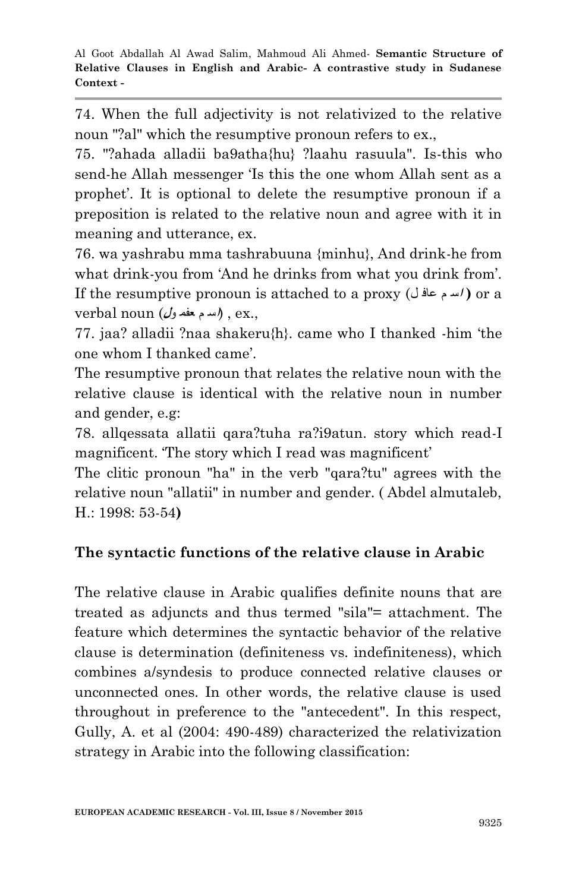74. When the full adjectivity is not relativized to the relative noun "?al" which the resumptive pronoun refers to ex.,

75. "?ahada alladii ba9atha{hu} ?laahu rasuula". Is-this who send-he Allah messenger "Is this the one whom Allah sent as a prophet. It is optional to delete the resumptive pronoun if a preposition is related to the relative noun and agree with it in meaning and utterance, ex.

76. wa yashrabu mma tashrabuuna {minhu}, And drink-he from what drink-you from 'And he drinks from what you drink from'. If the resumptive pronoun is attached to a proxy (ل عاف م **<sup>ا</sup>**س **(** or a .,ex ,) **ا**س م عفم و**ل**) noun verbal

77. jaa? alladii ?naa shakeru{h}. came who I thanked -him "the one whom I thanked came".

The resumptive pronoun that relates the relative noun with the relative clause is identical with the relative noun in number and gender, e.g:

78. allqessata allatii qara?tuha ra?i9atun. story which read-I magnificent. The story which I read was magnificent'

The clitic pronoun "ha" in the verb "qara?tu" agrees with the relative noun "allatii" in number and gender. ( Abdel almutaleb, H.: 1998: 53-54**)**

# **The syntactic functions of the relative clause in Arabic**

The relative clause in Arabic qualifies definite nouns that are treated as adjuncts and thus termed "sila"= attachment. The feature which determines the syntactic behavior of the relative clause is determination (definiteness vs. indefiniteness), which combines a/syndesis to produce connected relative clauses or unconnected ones. In other words, the relative clause is used throughout in preference to the "antecedent". In this respect, Gully, A. et al (2004: 490-489) characterized the relativization strategy in Arabic into the following classification: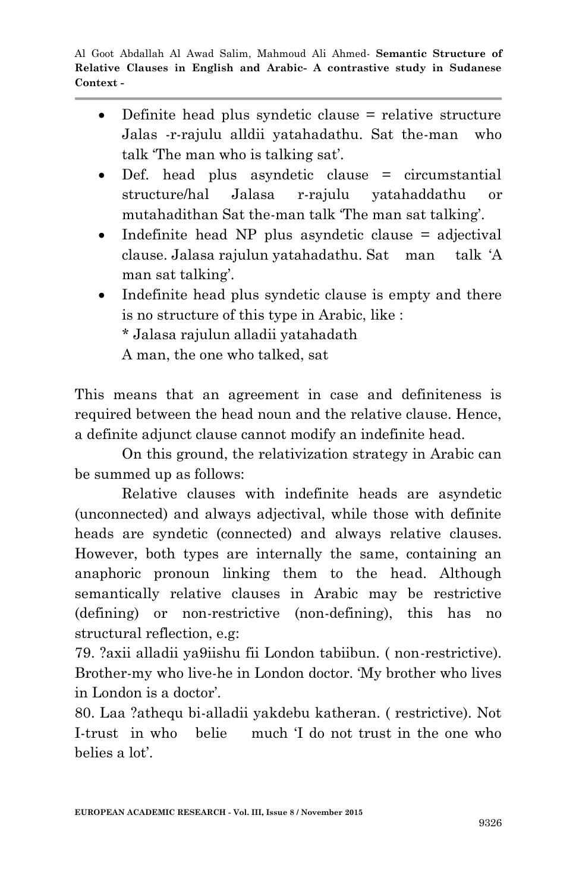- Definite head plus syndetic clause = relative structure Jalas -r-rajulu alldii yatahadathu. Sat the-man who talk The man who is talking sat'.
- Def. head plus asyndetic clause = circumstantial structure/hal Jalasa r-rajulu yatahaddathu or mutahadithan Sat the-man talk "The man sat talking".
- Indefinite head NP plus asyndetic clause = adjectival clause. Jalasa rajulun yatahadathu. Sat man talk "A man sat talking'.
- Indefinite head plus syndetic clause is empty and there is no structure of this type in Arabic, like : \* Jalasa rajulun alladii yatahadath A man, the one who talked, sat

This means that an agreement in case and definiteness is required between the head noun and the relative clause. Hence, a definite adjunct clause cannot modify an indefinite head.

On this ground, the relativization strategy in Arabic can be summed up as follows:

Relative clauses with indefinite heads are asyndetic (unconnected) and always adjectival, while those with definite heads are syndetic (connected) and always relative clauses. However, both types are internally the same, containing an anaphoric pronoun linking them to the head. Although semantically relative clauses in Arabic may be restrictive (defining) or non-restrictive (non-defining), this has no structural reflection, e.g:

79. ?axii alladii ya9iishu fii London tabiibun. ( non-restrictive). Brother-my who live-he in London doctor. "My brother who lives in London is a doctor'.

80. Laa ?athequ bi-alladii yakdebu katheran. ( restrictive). Not I-trust in who belie much "I do not trust in the one who belies a lot".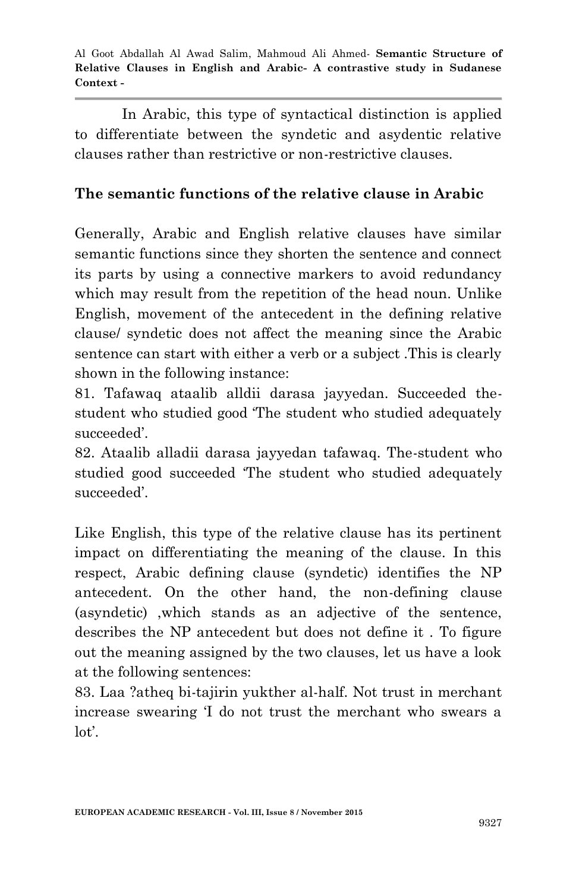In Arabic, this type of syntactical distinction is applied to differentiate between the syndetic and asydentic relative clauses rather than restrictive or non-restrictive clauses.

# **The semantic functions of the relative clause in Arabic**

Generally, Arabic and English relative clauses have similar semantic functions since they shorten the sentence and connect its parts by using a connective markers to avoid redundancy which may result from the repetition of the head noun. Unlike English, movement of the antecedent in the defining relative clause/ syndetic does not affect the meaning since the Arabic sentence can start with either a verb or a subject .This is clearly shown in the following instance:

81. Tafawaq ataalib alldii darasa jayyedan. Succeeded thestudent who studied good "The student who studied adequately succeeded'.

82. Ataalib alladii darasa jayyedan tafawaq. The-student who studied good succeeded "The student who studied adequately succeeded".

Like English, this type of the relative clause has its pertinent impact on differentiating the meaning of the clause. In this respect, Arabic defining clause (syndetic) identifies the NP antecedent. On the other hand, the non-defining clause (asyndetic) ,which stands as an adjective of the sentence, describes the NP antecedent but does not define it . To figure out the meaning assigned by the two clauses, let us have a look at the following sentences:

83. Laa ?atheq bi-tajirin yukther al-half. Not trust in merchant increase swearing "I do not trust the merchant who swears a lot'.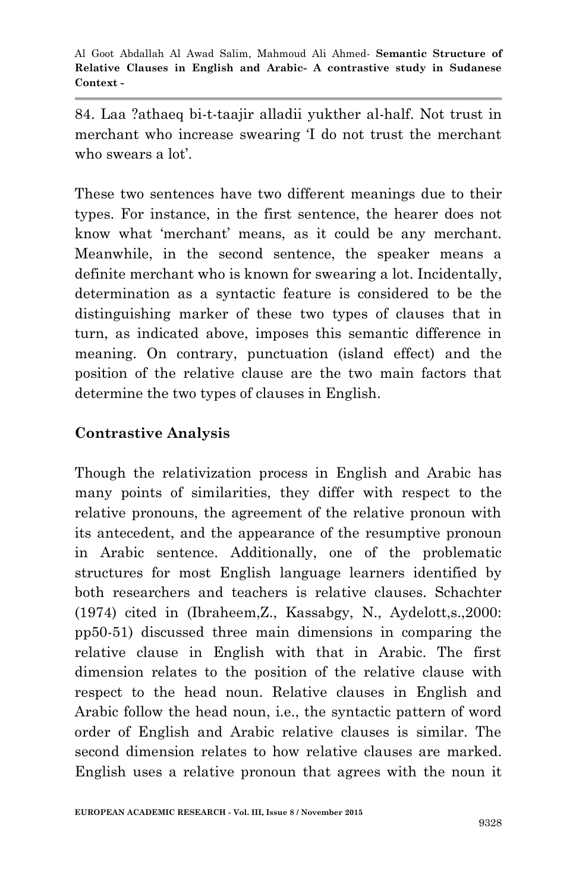84. Laa ?athaeq bi-t-taajir alladii yukther al-half. Not trust in merchant who increase swearing "I do not trust the merchant who swears a lot'.

These two sentences have two different meanings due to their types. For instance, in the first sentence, the hearer does not know what "merchant" means, as it could be any merchant. Meanwhile, in the second sentence, the speaker means a definite merchant who is known for swearing a lot. Incidentally, determination as a syntactic feature is considered to be the distinguishing marker of these two types of clauses that in turn, as indicated above, imposes this semantic difference in meaning. On contrary, punctuation (island effect) and the position of the relative clause are the two main factors that determine the two types of clauses in English.

### **Contrastive Analysis**

Though the relativization process in English and Arabic has many points of similarities, they differ with respect to the relative pronouns, the agreement of the relative pronoun with its antecedent, and the appearance of the resumptive pronoun in Arabic sentence. Additionally, one of the problematic structures for most English language learners identified by both researchers and teachers is relative clauses. Schachter (1974) cited in (Ibraheem,Z., Kassabgy, N., Aydelott,s.,2000: pp50-51) discussed three main dimensions in comparing the relative clause in English with that in Arabic. The first dimension relates to the position of the relative clause with respect to the head noun. Relative clauses in English and Arabic follow the head noun, i.e., the syntactic pattern of word order of English and Arabic relative clauses is similar. The second dimension relates to how relative clauses are marked. English uses a relative pronoun that agrees with the noun it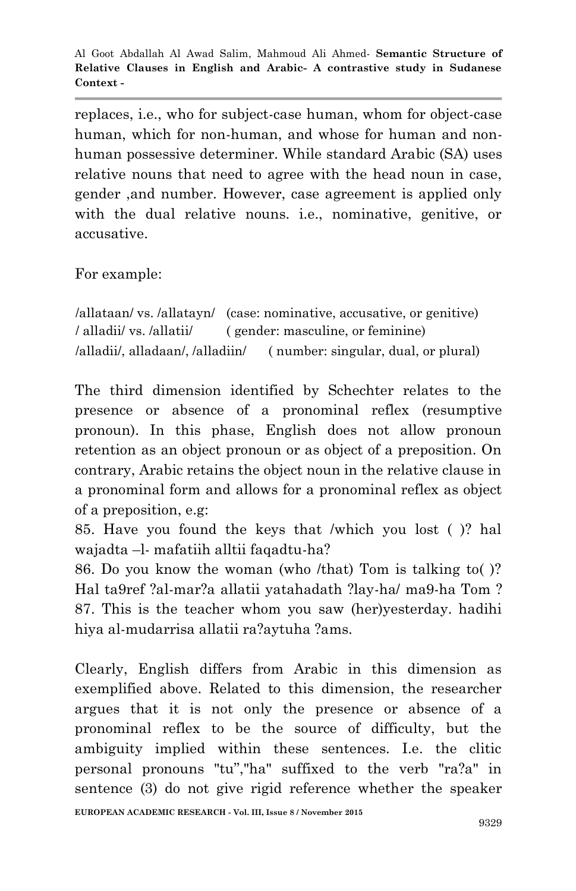replaces, i.e., who for subject-case human, whom for object-case human, which for non-human, and whose for human and nonhuman possessive determiner. While standard Arabic (SA) uses relative nouns that need to agree with the head noun in case, gender ,and number. However, case agreement is applied only with the dual relative nouns. i.e., nominative, genitive, or accusative.

For example:

/allataan/ vs. /allatayn/ (case: nominative, accusative, or genitive) / alladii/ vs. /allatii/ ( gender: masculine, or feminine) /alladii/, alladaan/, /alladiin/ ( number: singular, dual, or plural)

The third dimension identified by Schechter relates to the presence or absence of a pronominal reflex (resumptive pronoun). In this phase, English does not allow pronoun retention as an object pronoun or as object of a preposition. On contrary, Arabic retains the object noun in the relative clause in a pronominal form and allows for a pronominal reflex as object of a preposition, e.g:

85. Have you found the keys that /which you lost ( )? hal wajadta –l- mafatiih alltii faqadtu-ha?

86. Do you know the woman (who /that) Tom is talking to( )? Hal ta9ref ?al-mar?a allatii yatahadath ?lay-ha/ ma9-ha Tom ? 87. This is the teacher whom you saw (her)yesterday. hadihi hiya al-mudarrisa allatii ra?aytuha ?ams.

Clearly, English differs from Arabic in this dimension as exemplified above. Related to this dimension, the researcher argues that it is not only the presence or absence of a pronominal reflex to be the source of difficulty, but the ambiguity implied within these sentences. I.e. the clitic personal pronouns "tu","ha" suffixed to the verb "ra?a" in sentence (3) do not give rigid reference whether the speaker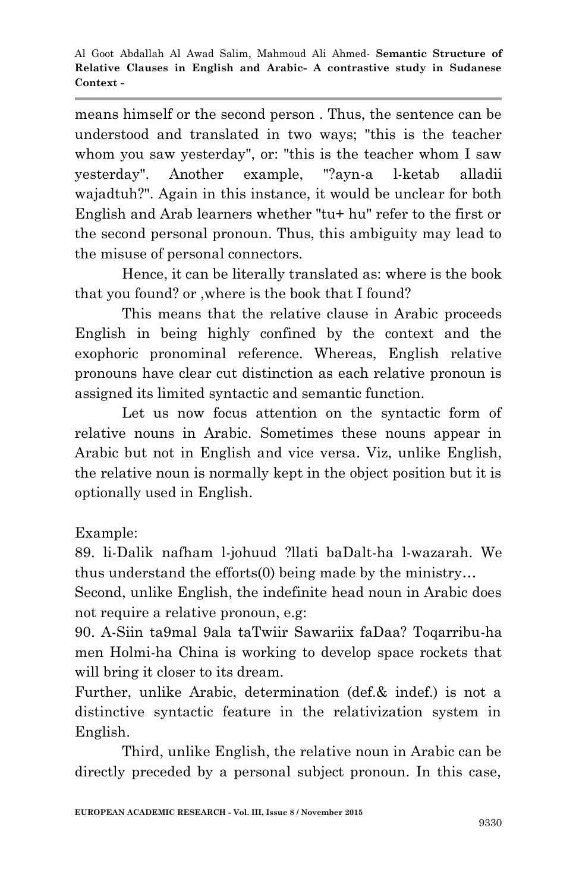means himself or the second person . Thus, the sentence can be understood and translated in two ways; "this is the teacher whom you saw yesterday", or: "this is the teacher whom I saw yesterday". Another example, "?ayn-a l-ketab alladii wajadtuh?". Again in this instance, it would be unclear for both English and Arab learners whether "tu+ hu" refer to the first or the second personal pronoun. Thus, this ambiguity may lead to the misuse of personal connectors.

Hence, it can be literally translated as: where is the book that you found? or ,where is the book that I found?

This means that the relative clause in Arabic proceeds English in being highly confined by the context and the exophoric pronominal reference. Whereas, English relative pronouns have clear cut distinction as each relative pronoun is assigned its limited syntactic and semantic function.

Let us now focus attention on the syntactic form of relative nouns in Arabic. Sometimes these nouns appear in Arabic but not in English and vice versa. Viz, unlike English, the relative noun is normally kept in the object position but it is optionally used in English.

Example:

89. li-Dalik nafham l-johuud ?llati baDalt-ha l-wazarah. We thus understand the efforts(0) being made by the ministry…

Second, unlike English, the indefinite head noun in Arabic does not require a relative pronoun, e.g:

90. A-Siin ta9mal 9ala taTwiir Sawariix faDaa? Toqarribu-ha men Holmi-ha China is working to develop space rockets that will bring it closer to its dream.

Further, unlike Arabic, determination (def.& indef.) is not a distinctive syntactic feature in the relativization system in English.

Third, unlike English, the relative noun in Arabic can be directly preceded by a personal subject pronoun. In this case,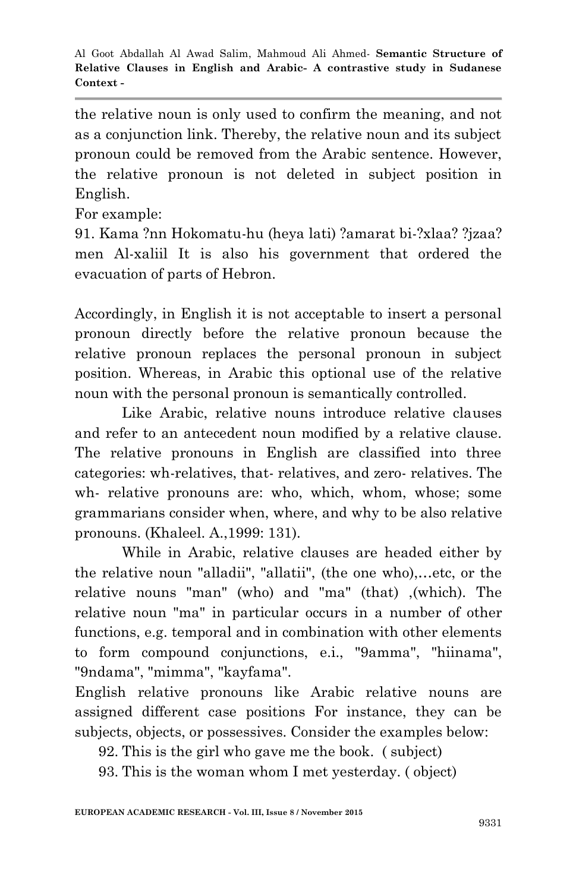the relative noun is only used to confirm the meaning, and not as a conjunction link. Thereby, the relative noun and its subject pronoun could be removed from the Arabic sentence. However, the relative pronoun is not deleted in subject position in English.

For example:

91. Kama ?nn Hokomatu-hu (heya lati) ?amarat bi-?xlaa? ?jzaa? men Al-xaliil It is also his government that ordered the evacuation of parts of Hebron.

Accordingly, in English it is not acceptable to insert a personal pronoun directly before the relative pronoun because the relative pronoun replaces the personal pronoun in subject position. Whereas, in Arabic this optional use of the relative noun with the personal pronoun is semantically controlled.

Like Arabic, relative nouns introduce relative clauses and refer to an antecedent noun modified by a relative clause. The relative pronouns in English are classified into three categories: wh-relatives, that- relatives, and zero- relatives. The wh- relative pronouns are: who, which, whom, whose; some grammarians consider when, where, and why to be also relative pronouns. (Khaleel. A.,1999: 131).

While in Arabic, relative clauses are headed either by the relative noun "alladii", "allatii", (the one who),…etc, or the relative nouns "man" (who) and "ma" (that) ,(which). The relative noun "ma" in particular occurs in a number of other functions, e.g. temporal and in combination with other elements to form compound conjunctions, e.i., "9amma", "hiinama", "9ndama", "mimma", "kayfama".

English relative pronouns like Arabic relative nouns are assigned different case positions For instance, they can be subjects, objects, or possessives. Consider the examples below:

92. This is the girl who gave me the book. ( subject)

93. This is the woman whom I met yesterday. ( object)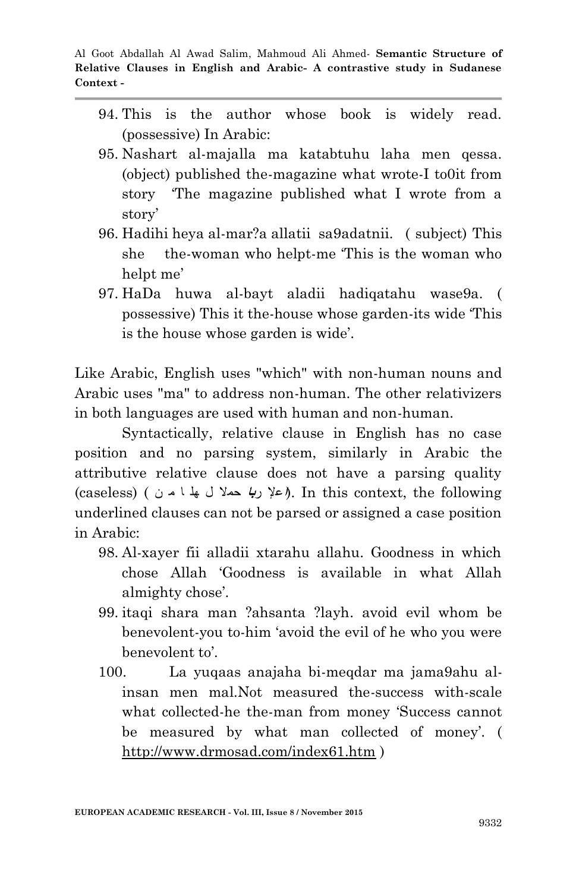- 94. This is the author whose book is widely read. (possessive) In Arabic:
- 95. Nashart al-majalla ma katabtuhu laha men qessa. (object) published the-magazine what wrote-I to0it from story "The magazine published what I wrote from a story'
- 96. Hadihi heya al-mar?a allatii sa9adatnii. ( subject) This she the-woman who helpt-me "This is the woman who helpt me'
- 97. HaDa huwa al-bayt aladii hadiqatahu wase9a. ( possessive) This it the-house whose garden-its wide "This is the house whose garden is wide.

Like Arabic, English uses "which" with non-human nouns and Arabic uses "ma" to address non-human. The other relativizers in both languages are used with human and non-human.

Syntactically, relative clause in English has no case position and no parsing system, similarly in Arabic the attributive relative clause does not have a parsing quality following the ,context this In .)**ا**علإ ر**با** حملا ل ھل ا م ن ) (caseless( underlined clauses can not be parsed or assigned a case position in Arabic:

- 98. Al-xayer fii alladii xtarahu allahu. Goodness in which chose Allah "Goodness is available in what Allah almighty chose'.
- 99. itaqi shara man ?ahsanta ?layh. avoid evil whom be benevolent-you to-him "avoid the evil of he who you were benevolent to'.
- 100. La yuqaas anajaha bi-meqdar ma jama9ahu alinsan men mal.Not measured the-success with-scale what collected-he the-man from money "Success cannot be measured by what man collected of money'. ( http://www.drmosad.com/index61.htm )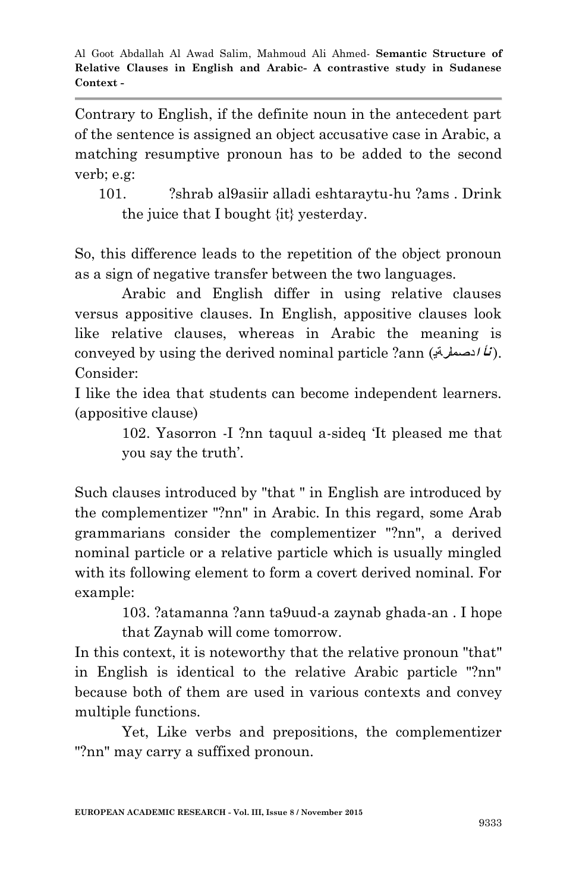Contrary to English, if the definite noun in the antecedent part of the sentence is assigned an object accusative case in Arabic, a matching resumptive pronoun has to be added to the second verb; e.g:

101. ?shrab al9asiir alladi eshtaraytu-hu ?ams . Drink the juice that I bought {it} yesterday.

So, this difference leads to the repetition of the object pronoun as a sign of negative transfer between the two languages.

Arabic and English differ in using relative clauses versus appositive clauses. In English, appositive clauses look like relative clauses, whereas in Arabic the meaning is conveyed by using the derived nominal particle ?ann (**ا**دصمل**ر**ةی **نأ**( . Consider:

I like the idea that students can become independent learners. (appositive clause)

> 102. Yasorron -I ?nn taquul a-sideq "It pleased me that you say the truth".

Such clauses introduced by "that " in English are introduced by the complementizer "?nn" in Arabic. In this regard, some Arab grammarians consider the complementizer "?nn", a derived nominal particle or a relative particle which is usually mingled with its following element to form a covert derived nominal. For example:

> 103. ?atamanna ?ann ta9uud-a zaynab ghada-an . I hope that Zaynab will come tomorrow.

In this context, it is noteworthy that the relative pronoun "that" in English is identical to the relative Arabic particle "?nn" because both of them are used in various contexts and convey multiple functions.

Yet, Like verbs and prepositions, the complementizer "?nn" may carry a suffixed pronoun.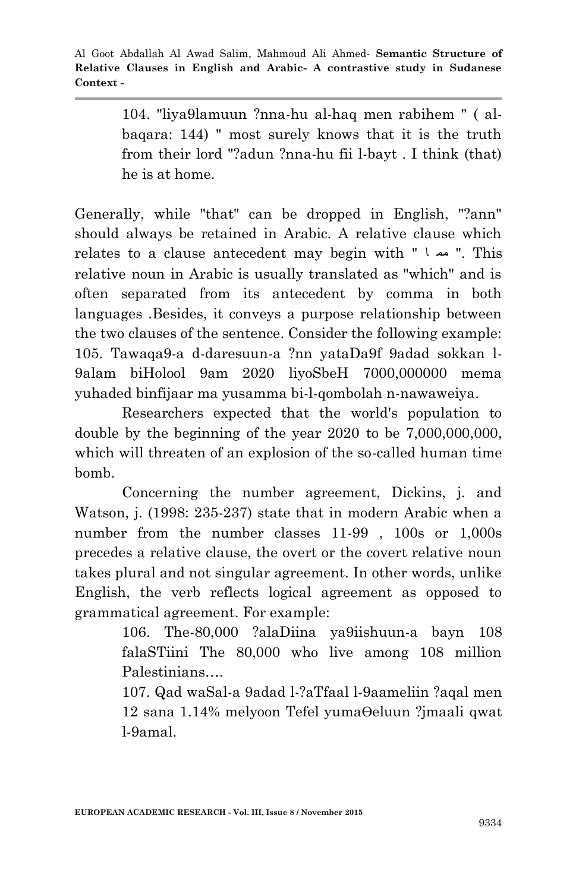104. "liya9lamuun ?nna-hu al-haq men rabihem " ( albaqara: 144) " most surely knows that it is the truth from their lord "?adun ?nna-hu fii l-bayt . I think (that) he is at home.

Generally, while "that" can be dropped in English, "?ann" should always be retained in Arabic. A relative clause which relates to a clause antecedent may begin with " ا مم" . This relative noun in Arabic is usually translated as "which" and is often separated from its antecedent by comma in both languages .Besides, it conveys a purpose relationship between the two clauses of the sentence. Consider the following example: 105. Tawaqa9-a d-daresuun-a ?nn yataDa9f 9adad sokkan l-9alam biHolool 9am 2020 liyoSbeH 7000,000000 mema yuhaded binfijaar ma yusamma bi-l-qombolah n-nawaweiya.

Researchers expected that the world's population to double by the beginning of the year  $2020$  to be  $7,000,000,000$ , which will threaten of an explosion of the so-called human time bomb.

Concerning the number agreement, Dickins, j. and Watson, j. (1998: 235-237) state that in modern Arabic when a number from the number classes 11-99 , 100s or 1,000s precedes a relative clause, the overt or the covert relative noun takes plural and not singular agreement. In other words, unlike English, the verb reflects logical agreement as opposed to grammatical agreement. For example:

> 106. The-80,000 ?alaDiina ya9iishuun-a bayn 108 falaSTiini The 80,000 who live among 108 million Palestinians….

> 107. Qad waSal-a 9adad l-?aTfaal l-9aameliin ?aqal men 12 sana 1.14% melyoon Tefel yuma $\Theta$ eluun ?jmaali qwat l-9amal.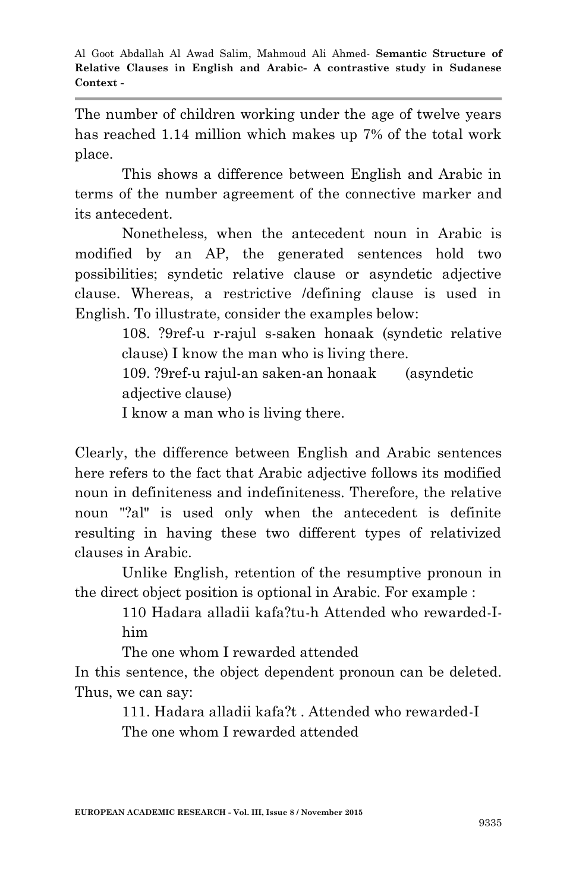The number of children working under the age of twelve years has reached 1.14 million which makes up 7% of the total work place.

This shows a difference between English and Arabic in terms of the number agreement of the connective marker and its antecedent.

Nonetheless, when the antecedent noun in Arabic is modified by an AP, the generated sentences hold two possibilities; syndetic relative clause or asyndetic adjective clause. Whereas, a restrictive /defining clause is used in English. To illustrate, consider the examples below:

> 108. ?9ref-u r-rajul s-saken honaak (syndetic relative clause) I know the man who is living there.

109. ?9ref-u rajul-an saken-an honaak (asyndetic adjective clause)

I know a man who is living there.

Clearly, the difference between English and Arabic sentences here refers to the fact that Arabic adjective follows its modified noun in definiteness and indefiniteness. Therefore, the relative noun "?al" is used only when the antecedent is definite resulting in having these two different types of relativized clauses in Arabic.

Unlike English, retention of the resumptive pronoun in the direct object position is optional in Arabic. For example :

> 110 Hadara alladii kafa?tu-h Attended who rewarded-Ihim

The one whom I rewarded attended

In this sentence, the object dependent pronoun can be deleted. Thus, we can say:

> 111. Hadara alladii kafa?t . Attended who rewarded-I The one whom I rewarded attended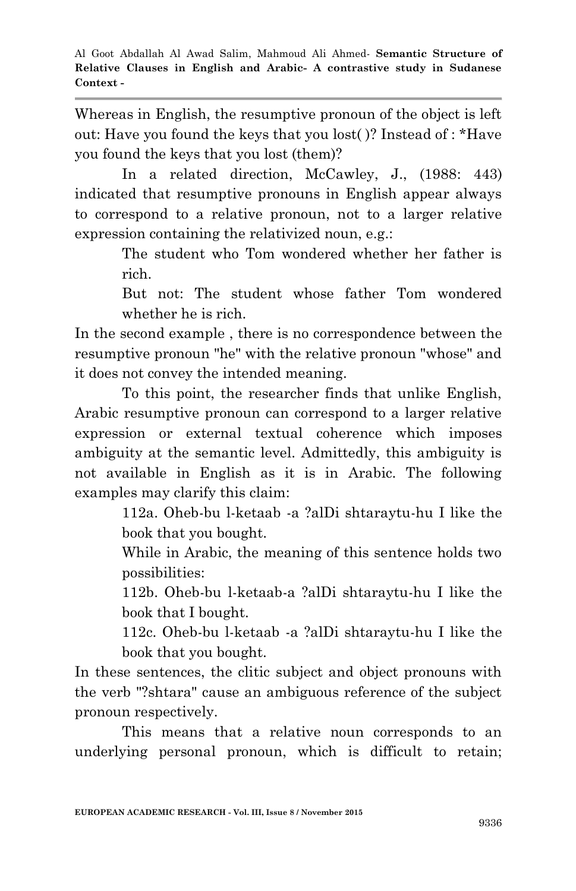Whereas in English, the resumptive pronoun of the object is left out: Have you found the keys that you lost( )? Instead of : \*Have you found the keys that you lost (them)?

In a related direction, McCawley, J., (1988: 443) indicated that resumptive pronouns in English appear always to correspond to a relative pronoun, not to a larger relative expression containing the relativized noun, e.g.:

> The student who Tom wondered whether her father is rich.

> But not: The student whose father Tom wondered whether he is rich.

In the second example , there is no correspondence between the resumptive pronoun "he" with the relative pronoun "whose" and it does not convey the intended meaning.

To this point, the researcher finds that unlike English, Arabic resumptive pronoun can correspond to a larger relative expression or external textual coherence which imposes ambiguity at the semantic level. Admittedly, this ambiguity is not available in English as it is in Arabic. The following examples may clarify this claim:

> 112a. Oheb-bu l-ketaab -a ?alDi shtaraytu-hu I like the book that you bought.

> While in Arabic, the meaning of this sentence holds two possibilities:

> 112b. Oheb-bu l-ketaab-a ?alDi shtaraytu-hu I like the book that I bought.

> 112c. Oheb-bu l-ketaab -a ?alDi shtaraytu-hu I like the book that you bought.

In these sentences, the clitic subject and object pronouns with the verb "?shtara" cause an ambiguous reference of the subject pronoun respectively.

This means that a relative noun corresponds to an underlying personal pronoun, which is difficult to retain;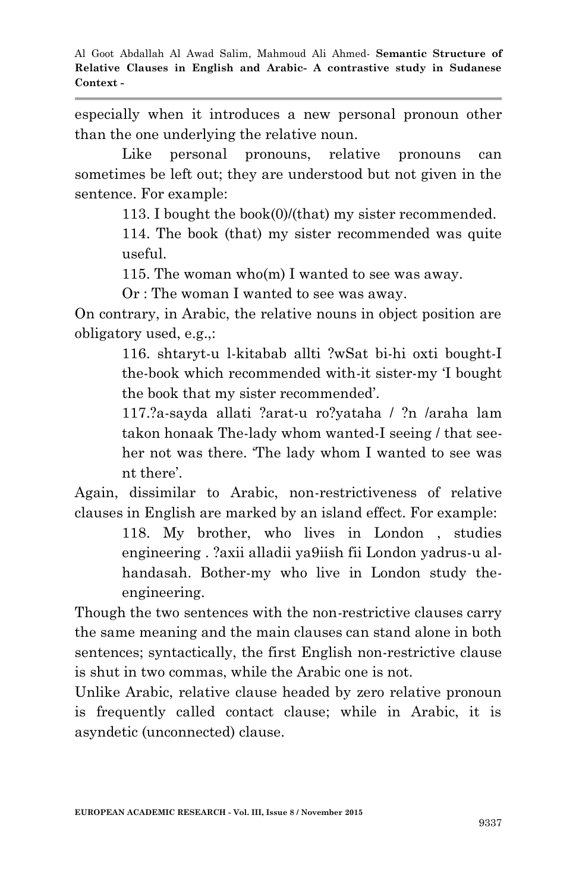especially when it introduces a new personal pronoun other than the one underlying the relative noun.

Like personal pronouns, relative pronouns can sometimes be left out; they are understood but not given in the sentence. For example:

113. I bought the book(0)/(that) my sister recommended.

114. The book (that) my sister recommended was quite useful.

115. The woman who(m) I wanted to see was away.

Or : The woman I wanted to see was away.

On contrary, in Arabic, the relative nouns in object position are obligatory used, e.g.,:

> 116. shtaryt-u l-kitabab allti ?wSat bi-hi oxti bought-I the-book which recommended with-it sister-my "I bought the book that my sister recommended".

> 117.?a-sayda allati ?arat-u ro?yataha / ?n /araha lam takon honaak The-lady whom wanted-I seeing / that seeher not was there. "The lady whom I wanted to see was nt there".

Again, dissimilar to Arabic, non-restrictiveness of relative clauses in English are marked by an island effect. For example:

118. My brother, who lives in London , studies engineering . ?axii alladii ya9iish fii London yadrus-u alhandasah. Bother-my who live in London study theengineering.

Though the two sentences with the non-restrictive clauses carry the same meaning and the main clauses can stand alone in both sentences; syntactically, the first English non-restrictive clause is shut in two commas, while the Arabic one is not.

Unlike Arabic, relative clause headed by zero relative pronoun is frequently called contact clause; while in Arabic, it is asyndetic (unconnected) clause.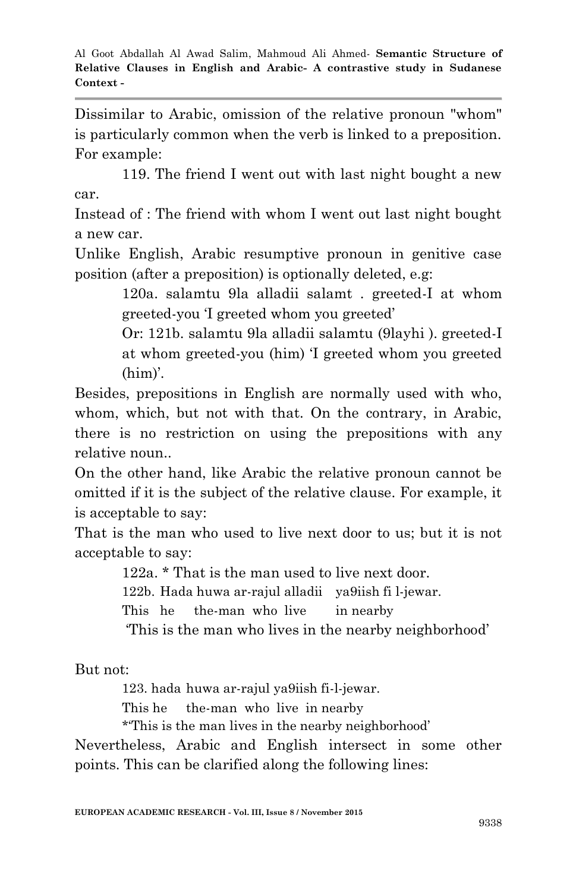Dissimilar to Arabic, omission of the relative pronoun "whom" is particularly common when the verb is linked to a preposition. For example:

119. The friend I went out with last night bought a new car.

Instead of : The friend with whom I went out last night bought a new car.

Unlike English, Arabic resumptive pronoun in genitive case position (after a preposition) is optionally deleted, e.g:

> 120a. salamtu 9la alladii salamt . greeted-I at whom greeted-you "I greeted whom you greeted"

> Or: 121b. salamtu 9la alladii salamtu (9layhi ). greeted-I at whom greeted-you (him) "I greeted whom you greeted  $(him)'$ .

Besides, prepositions in English are normally used with who, whom, which, but not with that. On the contrary, in Arabic, there is no restriction on using the prepositions with any relative noun..

On the other hand, like Arabic the relative pronoun cannot be omitted if it is the subject of the relative clause. For example, it is acceptable to say:

That is the man who used to live next door to us; but it is not acceptable to say:

122a. \* That is the man used to live next door.

122b. Hada huwa ar-rajul alladii ya9iish fi l-jewar.

This he the-man who live in nearby

"This is the man who lives in the nearby neighborhood"

But not:

123. hada huwa ar-rajul ya9iish fi-l-jewar.

This he the-man who live in nearby

\*"This is the man lives in the nearby neighborhood"

Nevertheless, Arabic and English intersect in some other points. This can be clarified along the following lines: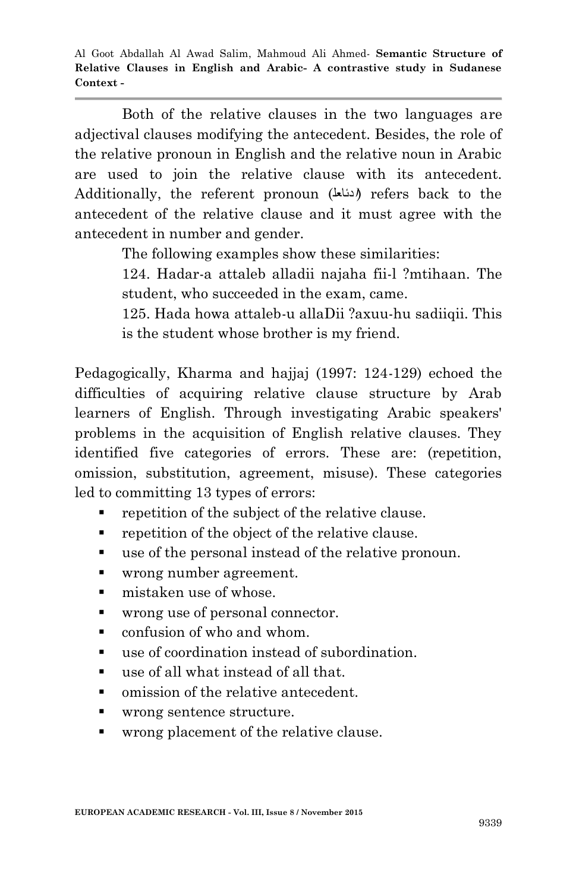Both of the relative clauses in the two languages are adjectival clauses modifying the antecedent. Besides, the role of the relative pronoun in English and the relative noun in Arabic are used to join the relative clause with its antecedent. Additionally, the referent pronoun (**ا**دئاعل (refers back to the antecedent of the relative clause and it must agree with the antecedent in number and gender.

The following examples show these similarities:

124. Hadar-a attaleb alladii najaha fii-l ?mtihaan. The student, who succeeded in the exam, came.

125. Hada howa attaleb-u allaDii ?axuu-hu sadiiqii. This is the student whose brother is my friend.

Pedagogically, Kharma and hajjaj (1997: 124-129) echoed the difficulties of acquiring relative clause structure by Arab learners of English. Through investigating Arabic speakers' problems in the acquisition of English relative clauses. They identified five categories of errors. These are: (repetition, omission, substitution, agreement, misuse). These categories led to committing 13 types of errors:

- repetition of the subject of the relative clause.
- **•** repetition of the object of the relative clause.
- use of the personal instead of the relative pronoun.
- wrong number agreement.
- mistaken use of whose.
- wrong use of personal connector.
- confusion of who and whom.
- use of coordination instead of subordination.
- use of all what instead of all that.
- omission of the relative antecedent.
- wrong sentence structure.
- wrong placement of the relative clause.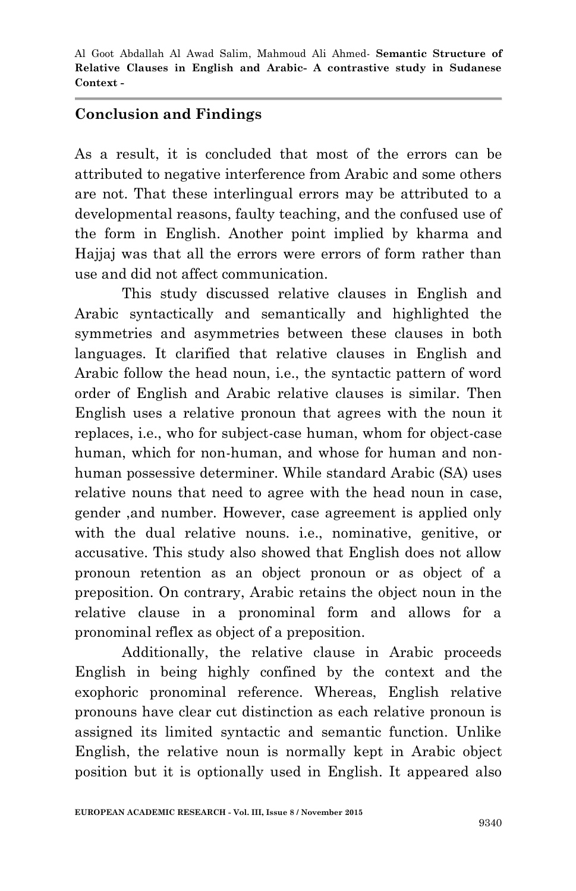#### **Conclusion and Findings**

As a result, it is concluded that most of the errors can be attributed to negative interference from Arabic and some others are not. That these interlingual errors may be attributed to a developmental reasons, faulty teaching, and the confused use of the form in English. Another point implied by kharma and Hajjaj was that all the errors were errors of form rather than use and did not affect communication.

This study discussed relative clauses in English and Arabic syntactically and semantically and highlighted the symmetries and asymmetries between these clauses in both languages. It clarified that relative clauses in English and Arabic follow the head noun, i.e., the syntactic pattern of word order of English and Arabic relative clauses is similar. Then English uses a relative pronoun that agrees with the noun it replaces, i.e., who for subject-case human, whom for object-case human, which for non-human, and whose for human and nonhuman possessive determiner. While standard Arabic (SA) uses relative nouns that need to agree with the head noun in case, gender ,and number. However, case agreement is applied only with the dual relative nouns. i.e., nominative, genitive, or accusative. This study also showed that English does not allow pronoun retention as an object pronoun or as object of a preposition. On contrary, Arabic retains the object noun in the relative clause in a pronominal form and allows for a pronominal reflex as object of a preposition.

Additionally, the relative clause in Arabic proceeds English in being highly confined by the context and the exophoric pronominal reference. Whereas, English relative pronouns have clear cut distinction as each relative pronoun is assigned its limited syntactic and semantic function. Unlike English, the relative noun is normally kept in Arabic object position but it is optionally used in English. It appeared also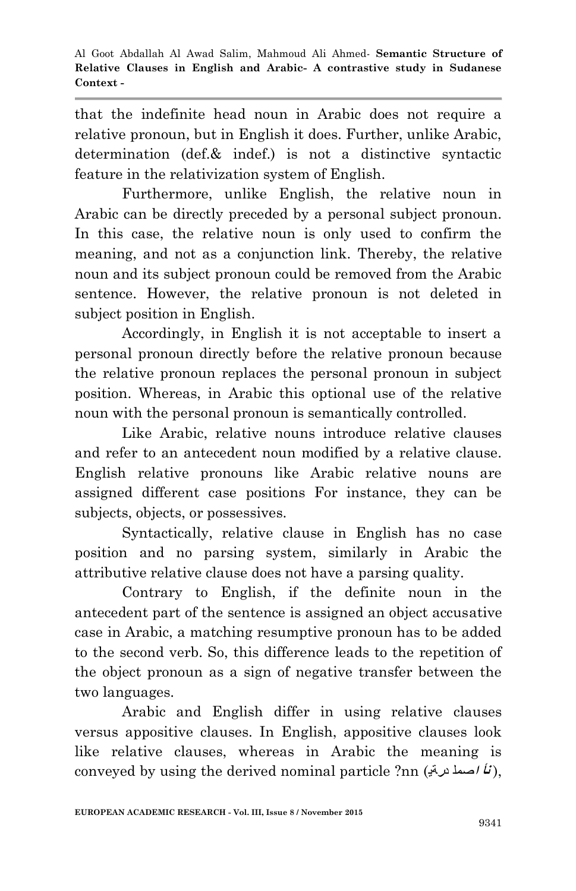that the indefinite head noun in Arabic does not require a relative pronoun, but in English it does. Further, unlike Arabic, determination (def.& indef.) is not a distinctive syntactic feature in the relativization system of English.

Furthermore, unlike English, the relative noun in Arabic can be directly preceded by a personal subject pronoun. In this case, the relative noun is only used to confirm the meaning, and not as a conjunction link. Thereby, the relative noun and its subject pronoun could be removed from the Arabic sentence. However, the relative pronoun is not deleted in subject position in English.

Accordingly, in English it is not acceptable to insert a personal pronoun directly before the relative pronoun because the relative pronoun replaces the personal pronoun in subject position. Whereas, in Arabic this optional use of the relative noun with the personal pronoun is semantically controlled.

Like Arabic, relative nouns introduce relative clauses and refer to an antecedent noun modified by a relative clause. English relative pronouns like Arabic relative nouns are assigned different case positions For instance, they can be subjects, objects, or possessives.

Syntactically, relative clause in English has no case position and no parsing system, similarly in Arabic the attributive relative clause does not have a parsing quality.

Contrary to English, if the definite noun in the antecedent part of the sentence is assigned an object accusative case in Arabic, a matching resumptive pronoun has to be added to the second verb. So, this difference leads to the repetition of the object pronoun as a sign of negative transfer between the two languages.

Arabic and English differ in using relative clauses versus appositive clauses. In English, appositive clauses look like relative clauses, whereas in Arabic the meaning is conveyed by using the derived nominal particle ?nn (د**ر**ةی **<sup>ا</sup>**صمل **نأ**( ,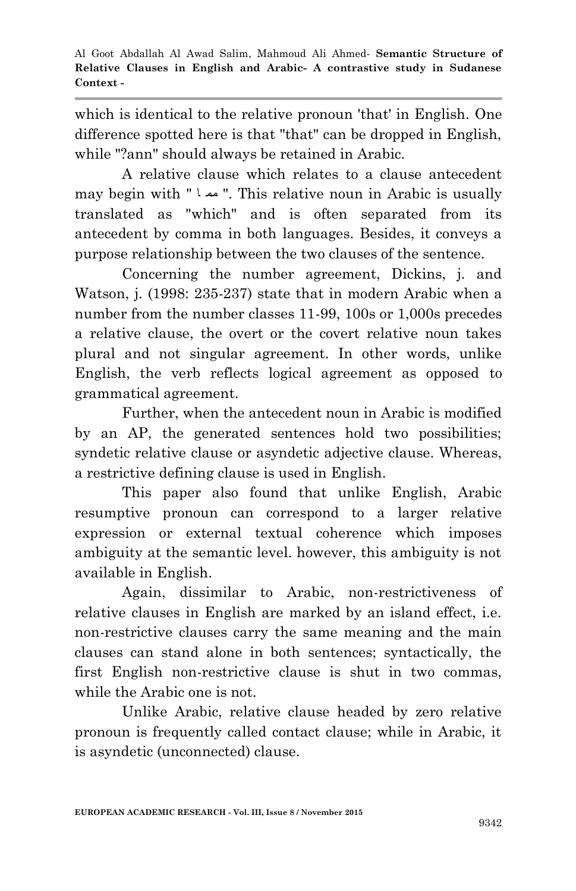which is identical to the relative pronoun 'that' in English. One difference spotted here is that "that" can be dropped in English, while "?ann" should always be retained in Arabic.

A relative clause which relates to a clause antecedent may begin with " ا مم" . This relative noun in Arabic is usually translated as "which" and is often separated from its antecedent by comma in both languages. Besides, it conveys a purpose relationship between the two clauses of the sentence.

Concerning the number agreement, Dickins, j. and Watson, j. (1998: 235-237) state that in modern Arabic when a number from the number classes 11-99, 100s or 1,000s precedes a relative clause, the overt or the covert relative noun takes plural and not singular agreement. In other words, unlike English, the verb reflects logical agreement as opposed to grammatical agreement.

Further, when the antecedent noun in Arabic is modified by an AP, the generated sentences hold two possibilities; syndetic relative clause or asyndetic adjective clause. Whereas, a restrictive defining clause is used in English.

This paper also found that unlike English, Arabic resumptive pronoun can correspond to a larger relative expression or external textual coherence which imposes ambiguity at the semantic level. however, this ambiguity is not available in English.

Again, dissimilar to Arabic, non-restrictiveness of relative clauses in English are marked by an island effect, i.e. non-restrictive clauses carry the same meaning and the main clauses can stand alone in both sentences; syntactically, the first English non-restrictive clause is shut in two commas, while the Arabic one is not.

Unlike Arabic, relative clause headed by zero relative pronoun is frequently called contact clause; while in Arabic, it is asyndetic (unconnected) clause.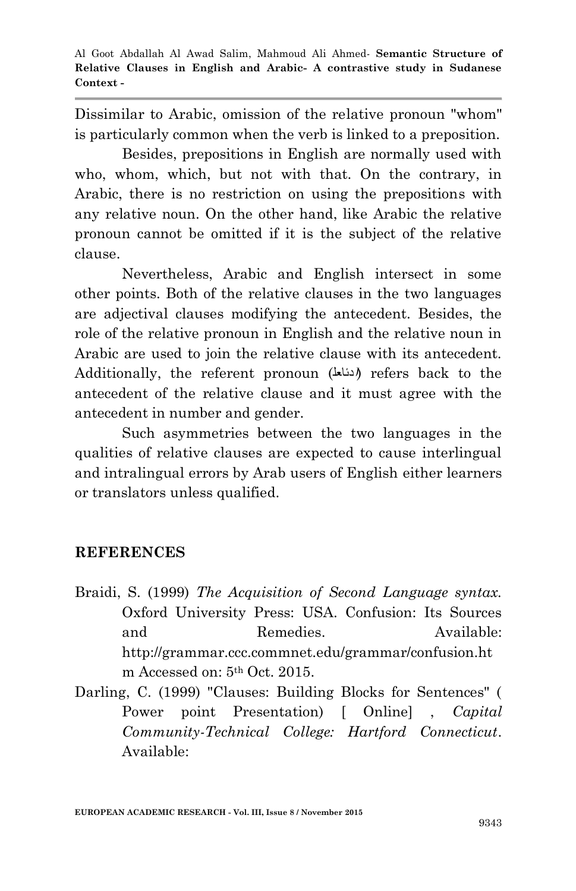Dissimilar to Arabic, omission of the relative pronoun "whom" is particularly common when the verb is linked to a preposition.

Besides, prepositions in English are normally used with who, whom, which, but not with that. On the contrary, in Arabic, there is no restriction on using the prepositions with any relative noun. On the other hand, like Arabic the relative pronoun cannot be omitted if it is the subject of the relative clause.

Nevertheless, Arabic and English intersect in some other points. Both of the relative clauses in the two languages are adjectival clauses modifying the antecedent. Besides, the role of the relative pronoun in English and the relative noun in Arabic are used to join the relative clause with its antecedent. Additionally, the referent pronoun (**ا**دئاعل (refers back to the antecedent of the relative clause and it must agree with the antecedent in number and gender.

Such asymmetries between the two languages in the qualities of relative clauses are expected to cause interlingual and intralingual errors by Arab users of English either learners or translators unless qualified.

### **REFERENCES**

- Braidi, S. (1999) *The Acquisition of Second Language syntax.* Oxford University Press: USA. Confusion: Its Sources and Remedies. Available: http://grammar.ccc.commnet.edu/grammar/confusion.ht m Accessed on: 5th Oct. 2015.
- Darling, C. (1999) "Clauses: Building Blocks for Sentences" ( Power point Presentation) [ Online] , *Capital Community-Technical College: Hartford Connecticut*. Available: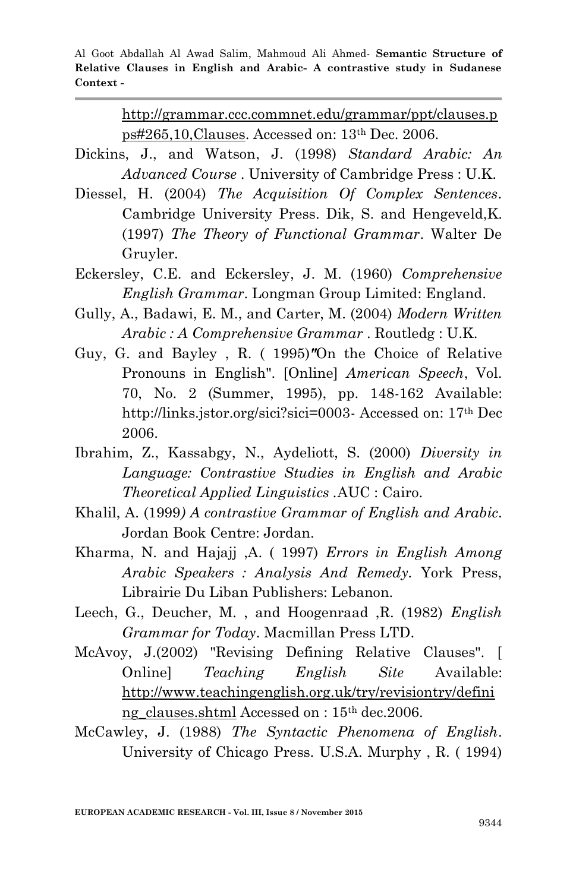> http://grammar.ccc.commnet.edu/grammar/ppt/clauses.p ps#265,10,Clauses. Accessed on: 13th Dec. 2006.

- Dickins, J., and Watson, J. (1998) *Standard Arabic: An Advanced Course* . University of Cambridge Press : U.K.
- Diessel, H. (2004) *The Acquisition Of Complex Sentences*. Cambridge University Press. Dik, S. and Hengeveld,K. (1997) *The Theory of Functional Grammar*. Walter De Gruyler.
- Eckersley, C.E. and Eckersley, J. M. (1960) *Comprehensive English Grammar*. Longman Group Limited: England.
- Gully, A., Badawi, E. M., and Carter, M. (2004) *Modern Written Arabic : A Comprehensive Grammar* . Routledg : U.K.
- Guy, G. and Bayley , R. ( 1995)*"*On the Choice of Relative Pronouns in English". [Online] *American Speech*, Vol. 70, No. 2 (Summer, 1995), pp. 148-162 Available: http://links.jstor.org/sici?sici=0003- Accessed on: 17th Dec 2006.
- Ibrahim, Z., Kassabgy, N., Aydeliott, S. (2000) *Diversity in Language: Contrastive Studies in English and Arabic Theoretical Applied Linguistics .*AUC : Cairo.
- Khalil, A. (1999*) A contrastive Grammar of English and Arabic*. Jordan Book Centre: Jordan.
- Kharma, N. and Hajajj ,A. ( 1997) *Errors in English Among Arabic Speakers : Analysis And Remedy.* York Press, Librairie Du Liban Publishers: Lebanon.
- Leech, G., Deucher, M. , and Hoogenraad ,R. (1982) *English Grammar for Today*. Macmillan Press LTD.
- McAvoy, J.(2002) "Revising Defining Relative Clauses". [ Online] *Teaching English Site* Available: http://www.teachingenglish.org.uk/try/revisiontry/defini ng clauses.shtml Accessed on : 15<sup>th</sup> dec.2006.
- McCawley, J. (1988) *The Syntactic Phenomena of English*. University of Chicago Press. U.S.A. Murphy , R. ( 1994)